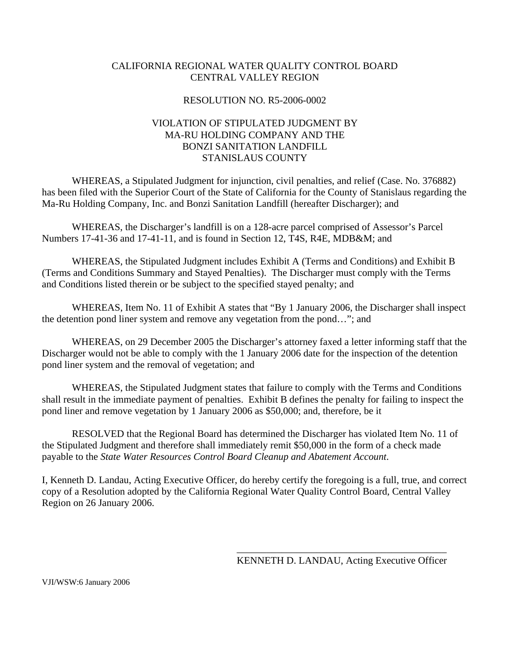#### CALIFORNIA REGIONAL WATER QUALITY CONTROL BOARD CENTRAL VALLEY REGION

#### RESOLUTION NO. R5-2006-0002

#### VIOLATION OF STIPULATED JUDGMENT BY MA-RU HOLDING COMPANY AND THE BONZI SANITATION LANDFILL STANISLAUS COUNTY

 WHEREAS, a Stipulated Judgment for injunction, civil penalties, and relief (Case. No. 376882) has been filed with the Superior Court of the State of California for the County of Stanislaus regarding the Ma-Ru Holding Company, Inc. and Bonzi Sanitation Landfill (hereafter Discharger); and

 WHEREAS, the Discharger's landfill is on a 128-acre parcel comprised of Assessor's Parcel Numbers 17-41-36 and 17-41-11, and is found in Section 12, T4S, R4E, MDB&M; and

 WHEREAS, the Stipulated Judgment includes Exhibit A (Terms and Conditions) and Exhibit B (Terms and Conditions Summary and Stayed Penalties). The Discharger must comply with the Terms and Conditions listed therein or be subject to the specified stayed penalty; and

 WHEREAS, Item No. 11 of Exhibit A states that "By 1 January 2006, the Discharger shall inspect the detention pond liner system and remove any vegetation from the pond…"; and

WHEREAS, on 29 December 2005 the Discharger's attorney faxed a letter informing staff that the Discharger would not be able to comply with the 1 January 2006 date for the inspection of the detention pond liner system and the removal of vegetation; and

 WHEREAS, the Stipulated Judgment states that failure to comply with the Terms and Conditions shall result in the immediate payment of penalties. Exhibit B defines the penalty for failing to inspect the pond liner and remove vegetation by 1 January 2006 as \$50,000; and, therefore, be it

 RESOLVED that the Regional Board has determined the Discharger has violated Item No. 11 of the Stipulated Judgment and therefore shall immediately remit \$50,000 in the form of a check made payable to the *State Water Resources Control Board Cleanup and Abatement Account*.

I, Kenneth D. Landau, Acting Executive Officer, do hereby certify the foregoing is a full, true, and correct copy of a Resolution adopted by the California Regional Water Quality Control Board, Central Valley Region on 26 January 2006.

 $\frac{1}{\sqrt{2}}$  ,  $\frac{1}{\sqrt{2}}$  ,  $\frac{1}{\sqrt{2}}$  ,  $\frac{1}{\sqrt{2}}$  ,  $\frac{1}{\sqrt{2}}$  ,  $\frac{1}{\sqrt{2}}$  ,  $\frac{1}{\sqrt{2}}$  ,  $\frac{1}{\sqrt{2}}$  ,  $\frac{1}{\sqrt{2}}$  ,  $\frac{1}{\sqrt{2}}$  ,  $\frac{1}{\sqrt{2}}$  ,  $\frac{1}{\sqrt{2}}$  ,  $\frac{1}{\sqrt{2}}$  ,  $\frac{1}{\sqrt{2}}$  ,  $\frac{1}{\sqrt{2}}$ 

KENNETH D. LANDAU, Acting Executive Officer

VJI/WSW:6 January 2006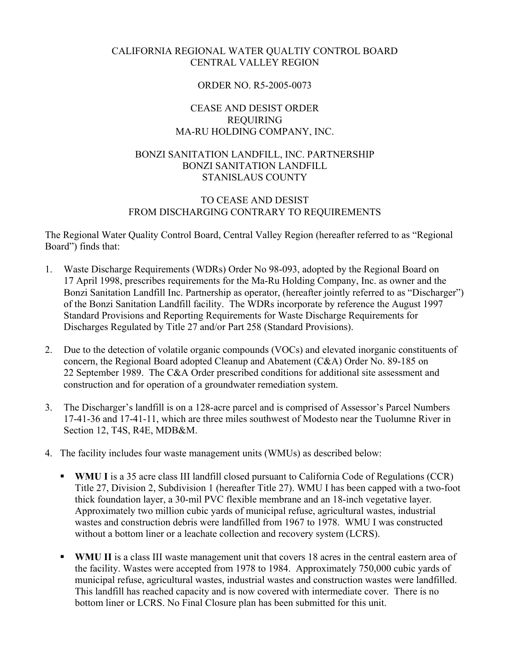#### CALIFORNIA REGIONAL WATER QUALTIY CONTROL BOARD CENTRAL VALLEY REGION

#### ORDER NO. R5-2005-0073

#### CEASE AND DESIST ORDER REQUIRING MA-RU HOLDING COMPANY, INC.

#### BONZI SANITATION LANDFILL, INC. PARTNERSHIP BONZI SANITATION LANDFILL STANISLAUS COUNTY

#### TO CEASE AND DESIST FROM DISCHARGING CONTRARY TO REQUIREMENTS

The Regional Water Quality Control Board, Central Valley Region (hereafter referred to as "Regional Board") finds that:

- 1. Waste Discharge Requirements (WDRs) Order No 98-093, adopted by the Regional Board on 17 April 1998, prescribes requirements for the Ma-Ru Holding Company, Inc. as owner and the Bonzi Sanitation Landfill Inc. Partnership as operator, (hereafter jointly referred to as "Discharger") of the Bonzi Sanitation Landfill facility. The WDRs incorporate by reference the August 1997 Standard Provisions and Reporting Requirements for Waste Discharge Requirements for Discharges Regulated by Title 27 and/or Part 258 (Standard Provisions).
- 2. Due to the detection of volatile organic compounds (VOCs) and elevated inorganic constituents of concern, the Regional Board adopted Cleanup and Abatement (C&A) Order No. 89-185 on 22 September 1989. The C&A Order prescribed conditions for additional site assessment and construction and for operation of a groundwater remediation system.
- 3. The Discharger's landfill is on a 128-acre parcel and is comprised of Assessor's Parcel Numbers 17-41-36 and 17-41-11, which are three miles southwest of Modesto near the Tuolumne River in Section 12, T4S, R4E, MDB&M.
- 4. The facility includes four waste management units (WMUs) as described below:
	- **WMU I** is a 35 acre class III landfill closed pursuant to California Code of Regulations (CCR) Title 27, Division 2, Subdivision 1 (hereafter Title 27). WMU I has been capped with a two-foot thick foundation layer, a 30-mil PVC flexible membrane and an 18-inch vegetative layer. Approximately two million cubic yards of municipal refuse, agricultural wastes, industrial wastes and construction debris were landfilled from 1967 to 1978. WMU I was constructed without a bottom liner or a leachate collection and recovery system (LCRS).
	- **WMU II** is a class III waste management unit that covers 18 acres in the central eastern area of the facility. Wastes were accepted from 1978 to 1984. Approximately 750,000 cubic yards of municipal refuse, agricultural wastes, industrial wastes and construction wastes were landfilled. This landfill has reached capacity and is now covered with intermediate cover. There is no bottom liner or LCRS. No Final Closure plan has been submitted for this unit.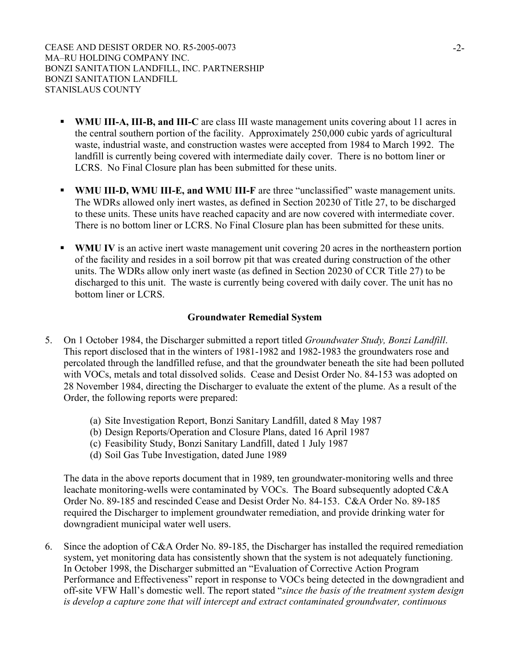- **WMU III-A, III-B, and III-C** are class III waste management units covering about 11 acres in the central southern portion of the facility. Approximately 250,000 cubic yards of agricultural waste, industrial waste, and construction wastes were accepted from 1984 to March 1992. The landfill is currently being covered with intermediate daily cover. There is no bottom liner or LCRS. No Final Closure plan has been submitted for these units.
- **WMU III-D, WMU III-E, and WMU III-F** are three "unclassified" waste management units. The WDRs allowed only inert wastes, as defined in Section 20230 of Title 27, to be discharged to these units. These units have reached capacity and are now covered with intermediate cover. There is no bottom liner or LCRS. No Final Closure plan has been submitted for these units.
- **WMU IV** is an active inert waste management unit covering 20 acres in the northeastern portion of the facility and resides in a soil borrow pit that was created during construction of the other units. The WDRs allow only inert waste (as defined in Section 20230 of CCR Title 27) to be discharged to this unit. The waste is currently being covered with daily cover. The unit has no bottom liner or LCRS.

#### **Groundwater Remedial System**

- 5. On 1 October 1984, the Discharger submitted a report titled *Groundwater Study, Bonzi Landfill*. This report disclosed that in the winters of 1981-1982 and 1982-1983 the groundwaters rose and percolated through the landfilled refuse, and that the groundwater beneath the site had been polluted with VOCs, metals and total dissolved solids. Cease and Desist Order No. 84-153 was adopted on 28 November 1984, directing the Discharger to evaluate the extent of the plume. As a result of the Order, the following reports were prepared:
	- (a) Site Investigation Report, Bonzi Sanitary Landfill, dated 8 May 1987
	- (b) Design Reports/Operation and Closure Plans, dated 16 April 1987
	- (c) Feasibility Study, Bonzi Sanitary Landfill, dated 1 July 1987
	- (d) Soil Gas Tube Investigation, dated June 1989

The data in the above reports document that in 1989, ten groundwater-monitoring wells and three leachate monitoring-wells were contaminated by VOCs. The Board subsequently adopted C&A Order No. 89-185 and rescinded Cease and Desist Order No. 84-153. C&A Order No. 89-185 required the Discharger to implement groundwater remediation, and provide drinking water for downgradient municipal water well users.

6. Since the adoption of C&A Order No. 89-185, the Discharger has installed the required remediation system, yet monitoring data has consistently shown that the system is not adequately functioning. In October 1998, the Discharger submitted an "Evaluation of Corrective Action Program Performance and Effectiveness" report in response to VOCs being detected in the downgradient and off-site VFW Hall's domestic well. The report stated "*since the basis of the treatment system design is develop a capture zone that will intercept and extract contaminated groundwater, continuous*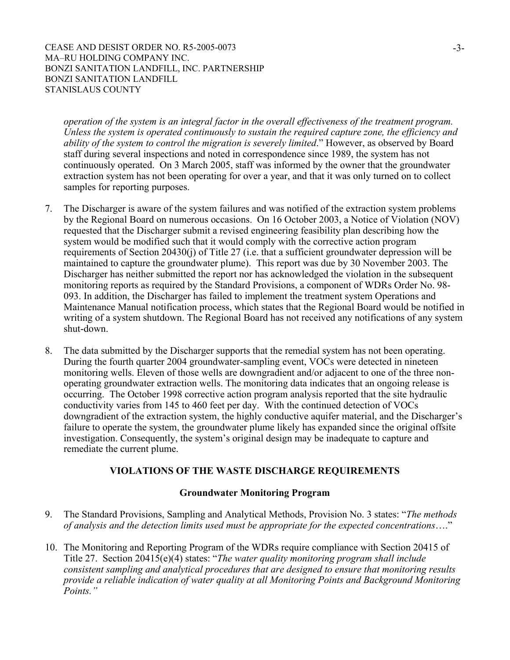*operation of the system is an integral factor in the overall effectiveness of the treatment program. Unless the system is operated continuously to sustain the required capture zone, the efficiency and ability of the system to control the migration is severely limited*." However, as observed by Board staff during several inspections and noted in correspondence since 1989, the system has not continuously operated. On 3 March 2005, staff was informed by the owner that the groundwater extraction system has not been operating for over a year, and that it was only turned on to collect samples for reporting purposes.

- 7. The Discharger is aware of the system failures and was notified of the extraction system problems by the Regional Board on numerous occasions. On 16 October 2003, a Notice of Violation (NOV) requested that the Discharger submit a revised engineering feasibility plan describing how the system would be modified such that it would comply with the corrective action program requirements of Section 20430(j) of Title 27 (i.e. that a sufficient groundwater depression will be maintained to capture the groundwater plume). This report was due by 30 November 2003. The Discharger has neither submitted the report nor has acknowledged the violation in the subsequent monitoring reports as required by the Standard Provisions, a component of WDRs Order No. 98- 093. In addition, the Discharger has failed to implement the treatment system Operations and Maintenance Manual notification process, which states that the Regional Board would be notified in writing of a system shutdown. The Regional Board has not received any notifications of any system shut-down.
- 8. The data submitted by the Discharger supports that the remedial system has not been operating. During the fourth quarter 2004 groundwater-sampling event, VOCs were detected in nineteen monitoring wells. Eleven of those wells are downgradient and/or adjacent to one of the three nonoperating groundwater extraction wells. The monitoring data indicates that an ongoing release is occurring. The October 1998 corrective action program analysis reported that the site hydraulic conductivity varies from 145 to 460 feet per day. With the continued detection of VOCs downgradient of the extraction system, the highly conductive aquifer material, and the Discharger's failure to operate the system, the groundwater plume likely has expanded since the original offsite investigation. Consequently, the system's original design may be inadequate to capture and remediate the current plume.

#### **VIOLATIONS OF THE WASTE DISCHARGE REQUIREMENTS**

#### **Groundwater Monitoring Program**

- 9. The Standard Provisions, Sampling and Analytical Methods, Provision No. 3 states: "*The methods of analysis and the detection limits used must be appropriate for the expected concentrations*…."
- 10. The Monitoring and Reporting Program of the WDRs require compliance with Section 20415 of Title 27. Section 20415(e)(4) states: "*The water quality monitoring program shall include consistent sampling and analytical procedures that are designed to ensure that monitoring results provide a reliable indication of water quality at all Monitoring Points and Background Monitoring Points."*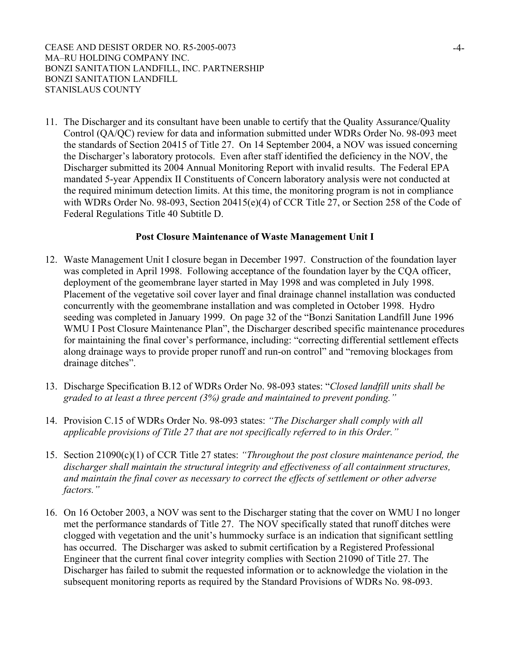11. The Discharger and its consultant have been unable to certify that the Quality Assurance/Quality Control (QA/QC) review for data and information submitted under WDRs Order No. 98-093 meet the standards of Section 20415 of Title 27. On 14 September 2004, a NOV was issued concerning the Discharger's laboratory protocols. Even after staff identified the deficiency in the NOV, the Discharger submitted its 2004 Annual Monitoring Report with invalid results. The Federal EPA mandated 5-year Appendix II Constituents of Concern laboratory analysis were not conducted at the required minimum detection limits. At this time, the monitoring program is not in compliance with WDRs Order No. 98-093, Section 20415(e)(4) of CCR Title 27, or Section 258 of the Code of Federal Regulations Title 40 Subtitle D.

#### **Post Closure Maintenance of Waste Management Unit I**

- 12. Waste Management Unit I closure began in December 1997. Construction of the foundation layer was completed in April 1998. Following acceptance of the foundation layer by the CQA officer, deployment of the geomembrane layer started in May 1998 and was completed in July 1998. Placement of the vegetative soil cover layer and final drainage channel installation was conducted concurrently with the geomembrane installation and was completed in October 1998. Hydro seeding was completed in January 1999. On page 32 of the "Bonzi Sanitation Landfill June 1996 WMU I Post Closure Maintenance Plan", the Discharger described specific maintenance procedures for maintaining the final cover's performance, including: "correcting differential settlement effects along drainage ways to provide proper runoff and run-on control" and "removing blockages from drainage ditches".
- 13. Discharge Specification B.12 of WDRs Order No. 98-093 states: "*Closed landfill units shall be graded to at least a three percent (3%) grade and maintained to prevent ponding."*
- 14. Provision C.15 of WDRs Order No. 98-093 states: *"The Discharger shall comply with all applicable provisions of Title 27 that are not specifically referred to in this Order."*
- 15. Section 21090(c)(1) of CCR Title 27 states: *"Throughout the post closure maintenance period, the discharger shall maintain the structural integrity and effectiveness of all containment structures, and maintain the final cover as necessary to correct the effects of settlement or other adverse factors."*
- 16. On 16 October 2003, a NOV was sent to the Discharger stating that the cover on WMU I no longer met the performance standards of Title 27. The NOV specifically stated that runoff ditches were clogged with vegetation and the unit's hummocky surface is an indication that significant settling has occurred. The Discharger was asked to submit certification by a Registered Professional Engineer that the current final cover integrity complies with Section 21090 of Title 27. The Discharger has failed to submit the requested information or to acknowledge the violation in the subsequent monitoring reports as required by the Standard Provisions of WDRs No. 98-093.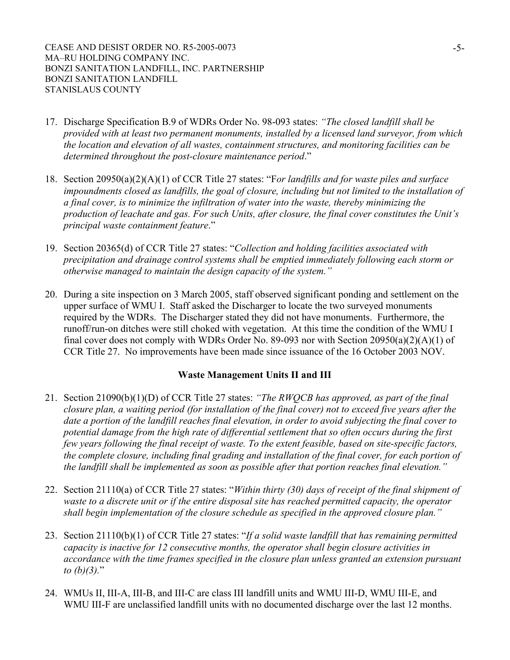- 17. Discharge Specification B.9 of WDRs Order No. 98-093 states: *"The closed landfill shall be provided with at least two permanent monuments, installed by a licensed land surveyor, from which the location and elevation of all wastes, containment structures, and monitoring facilities can be determined throughout the post-closure maintenance period*."
- 18. Section 20950(a)(2)(A)(1) of CCR Title 27 states: "F*or landfills and for waste piles and surface impoundments closed as landfills, the goal of closure, including but not limited to the installation of a final cover, is to minimize the infiltration of water into the waste, thereby minimizing the production of leachate and gas. For such Units, after closure, the final cover constitutes the Unit's principal waste containment feature*."
- 19. Section 20365(d) of CCR Title 27 states: "*Collection and holding facilities associated with precipitation and drainage control systems shall be emptied immediately following each storm or otherwise managed to maintain the design capacity of the system."*
- 20. During a site inspection on 3 March 2005, staff observed significant ponding and settlement on the upper surface of WMU I. Staff asked the Discharger to locate the two surveyed monuments required by the WDRs. The Discharger stated they did not have monuments. Furthermore, the runoff/run-on ditches were still choked with vegetation. At this time the condition of the WMU I final cover does not comply with WDRs Order No. 89-093 nor with Section  $20950(a)(2)(A)(1)$  of CCR Title 27. No improvements have been made since issuance of the 16 October 2003 NOV.

#### **Waste Management Units II and III**

- 21. Section 21090(b)(1)(D) of CCR Title 27 states: *"The RWQCB has approved, as part of the final closure plan, a waiting period (for installation of the final cover) not to exceed five years after the date a portion of the landfill reaches final elevation, in order to avoid subjecting the final cover to potential damage from the high rate of differential settlement that so often occurs during the first few years following the final receipt of waste. To the extent feasible, based on site-specific factors, the complete closure, including final grading and installation of the final cover, for each portion of the landfill shall be implemented as soon as possible after that portion reaches final elevation."*
- 22. Section 21110(a) of CCR Title 27 states: "*Within thirty (30) days of receipt of the final shipment of waste to a discrete unit or if the entire disposal site has reached permitted capacity, the operator shall begin implementation of the closure schedule as specified in the approved closure plan."*
- 23. Section 21110(b)(1) of CCR Title 27 states: "*If a solid waste landfill that has remaining permitted capacity is inactive for 12 consecutive months, the operator shall begin closure activities in accordance with the time frames specified in the closure plan unless granted an extension pursuant to (b)(3).*"
- 24. WMUs II, III-A, III-B, and III-C are class III landfill units and WMU III-D, WMU III-E, and WMU III-F are unclassified landfill units with no documented discharge over the last 12 months.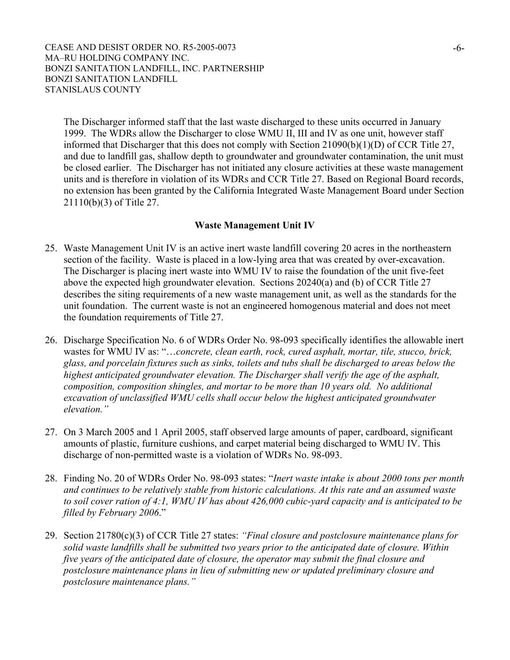The Discharger informed staff that the last waste discharged to these units occurred in January 1999. The WDRs allow the Discharger to close WMU II, III and IV as one unit, however staff informed that Discharger that this does not comply with Section 21090(b)(1)(D) of CCR Title 27, and due to landfill gas, shallow depth to groundwater and groundwater contamination, the unit must be closed earlier. The Discharger has not initiated any closure activities at these waste management units and is therefore in violation of its WDRs and CCR Title 27. Based on Regional Board records, no extension has been granted by the California Integrated Waste Management Board under Section 21110(b)(3) of Title 27.

#### **Waste Management Unit IV**

- 25. Waste Management Unit IV is an active inert waste landfill covering 20 acres in the northeastern section of the facility. Waste is placed in a low-lying area that was created by over-excavation. The Discharger is placing inert waste into WMU IV to raise the foundation of the unit five-feet above the expected high groundwater elevation. Sections 20240(a) and (b) of CCR Title 27 describes the siting requirements of a new waste management unit, as well as the standards for the unit foundation. The current waste is not an engineered homogenous material and does not meet the foundation requirements of Title 27.
- 26. Discharge Specification No. 6 of WDRs Order No. 98-093 specifically identifies the allowable inert wastes for WMU IV as: "…*concrete, clean earth, rock, cured asphalt, mortar, tile, stucco, brick, glass, and porcelain fixtures such as sinks, toilets and tubs shall be discharged to areas below the highest anticipated groundwater elevation. The Discharger shall verify the age of the asphalt, composition, composition shingles, and mortar to be more than 10 years old. No additional excavation of unclassified WMU cells shall occur below the highest anticipated groundwater elevation."*
- 27. On 3 March 2005 and 1 April 2005, staff observed large amounts of paper, cardboard, significant amounts of plastic, furniture cushions, and carpet material being discharged to WMU IV. This discharge of non-permitted waste is a violation of WDRs No. 98-093.
- 28. Finding No. 20 of WDRs Order No. 98-093 states: "*Inert waste intake is about 2000 tons per month and continues to be relatively stable from historic calculations. At this rate and an assumed waste to soil cover ration of 4:1, WMU IV has about 426,000 cubic-yard capacity and is anticipated to be filled by February 2006*."
- 29. Section 21780(c)(3) of CCR Title 27 states: *"Final closure and postclosure maintenance plans for solid waste landfills shall be submitted two years prior to the anticipated date of closure. Within five years of the anticipated date of closure, the operator may submit the final closure and postclosure maintenance plans in lieu of submitting new or updated preliminary closure and postclosure maintenance plans."*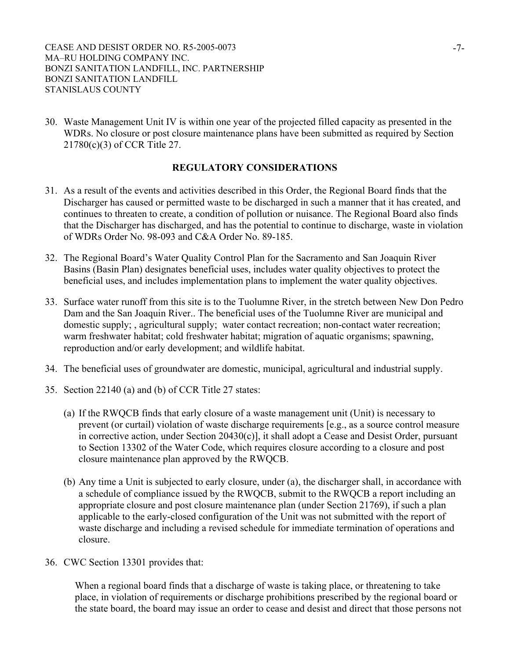30. Waste Management Unit IV is within one year of the projected filled capacity as presented in the WDRs. No closure or post closure maintenance plans have been submitted as required by Section 21780(c)(3) of CCR Title 27.

#### **REGULATORY CONSIDERATIONS**

- 31. As a result of the events and activities described in this Order, the Regional Board finds that the Discharger has caused or permitted waste to be discharged in such a manner that it has created, and continues to threaten to create, a condition of pollution or nuisance. The Regional Board also finds that the Discharger has discharged, and has the potential to continue to discharge, waste in violation of WDRs Order No. 98-093 and C&A Order No. 89-185.
- 32. The Regional Board's Water Quality Control Plan for the Sacramento and San Joaquin River Basins (Basin Plan) designates beneficial uses, includes water quality objectives to protect the beneficial uses, and includes implementation plans to implement the water quality objectives.
- 33. Surface water runoff from this site is to the Tuolumne River, in the stretch between New Don Pedro Dam and the San Joaquin River.. The beneficial uses of the Tuolumne River are municipal and domestic supply; , agricultural supply; water contact recreation; non-contact water recreation; warm freshwater habitat; cold freshwater habitat; migration of aquatic organisms; spawning, reproduction and/or early development; and wildlife habitat.
- 34. The beneficial uses of groundwater are domestic, municipal, agricultural and industrial supply.
- 35. Section 22140 (a) and (b) of CCR Title 27 states:
	- (a) If the RWQCB finds that early closure of a waste management unit (Unit) is necessary to prevent (or curtail) violation of waste discharge requirements [e.g., as a source control measure in corrective action, under Section 20430(c)], it shall adopt a Cease and Desist Order, pursuant to Section 13302 of the Water Code, which requires closure according to a closure and post closure maintenance plan approved by the RWQCB.
	- (b) Any time a Unit is subjected to early closure, under (a), the discharger shall, in accordance with a schedule of compliance issued by the RWQCB, submit to the RWQCB a report including an appropriate closure and post closure maintenance plan (under Section 21769), if such a plan applicable to the early-closed configuration of the Unit was not submitted with the report of waste discharge and including a revised schedule for immediate termination of operations and closure.
- 36. CWC Section 13301 provides that:

When a regional board finds that a discharge of waste is taking place, or threatening to take place, in violation of requirements or discharge prohibitions prescribed by the regional board or the state board, the board may issue an order to cease and desist and direct that those persons not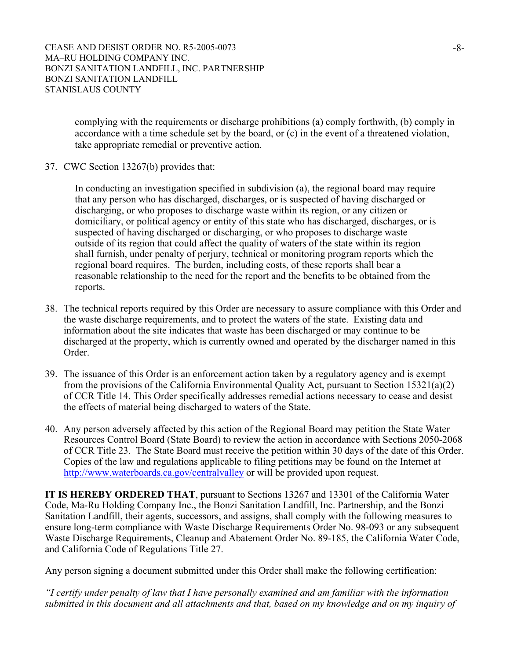complying with the requirements or discharge prohibitions (a) comply forthwith, (b) comply in accordance with a time schedule set by the board, or (c) in the event of a threatened violation, take appropriate remedial or preventive action.

37. CWC Section 13267(b) provides that:

In conducting an investigation specified in subdivision (a), the regional board may require that any person who has discharged, discharges, or is suspected of having discharged or discharging, or who proposes to discharge waste within its region, or any citizen or domiciliary, or political agency or entity of this state who has discharged, discharges, or is suspected of having discharged or discharging, or who proposes to discharge waste outside of its region that could affect the quality of waters of the state within its region shall furnish, under penalty of perjury, technical or monitoring program reports which the regional board requires. The burden, including costs, of these reports shall bear a reasonable relationship to the need for the report and the benefits to be obtained from the reports.

- 38. The technical reports required by this Order are necessary to assure compliance with this Order and the waste discharge requirements, and to protect the waters of the state. Existing data and information about the site indicates that waste has been discharged or may continue to be discharged at the property, which is currently owned and operated by the discharger named in this Order.
- 39. The issuance of this Order is an enforcement action taken by a regulatory agency and is exempt from the provisions of the California Environmental Quality Act, pursuant to Section 15321(a)(2) of CCR Title 14. This Order specifically addresses remedial actions necessary to cease and desist the effects of material being discharged to waters of the State.
- 40. Any person adversely affected by this action of the Regional Board may petition the State Water Resources Control Board (State Board) to review the action in accordance with Sections 2050-2068 of CCR Title 23. The State Board must receive the petition within 30 days of the date of this Order. Copies of the law and regulations applicable to filing petitions may be found on the Internet at http://www.waterboards.ca.gov/centralvalley or will be provided upon request.

**IT IS HEREBY ORDERED THAT**, pursuant to Sections 13267 and 13301 of the California Water Code, Ma-Ru Holding Company Inc., the Bonzi Sanitation Landfill, Inc. Partnership, and the Bonzi Sanitation Landfill, their agents, successors, and assigns, shall comply with the following measures to ensure long-term compliance with Waste Discharge Requirements Order No. 98-093 or any subsequent Waste Discharge Requirements, Cleanup and Abatement Order No. 89-185, the California Water Code, and California Code of Regulations Title 27.

Any person signing a document submitted under this Order shall make the following certification:

*"I certify under penalty of law that I have personally examined and am familiar with the information submitted in this document and all attachments and that, based on my knowledge and on my inquiry of*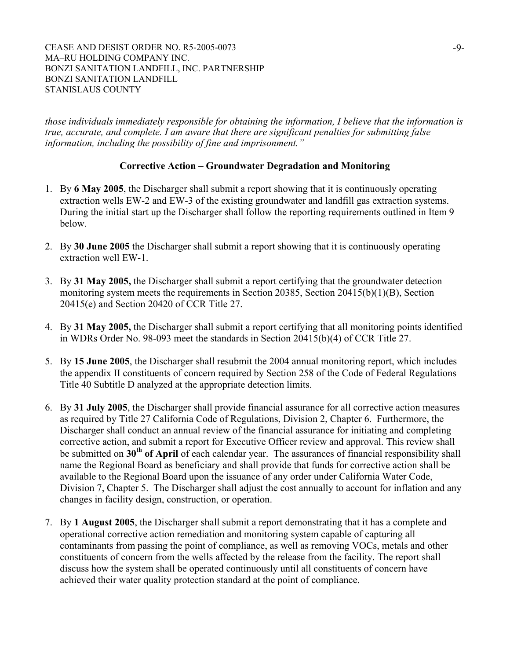*those individuals immediately responsible for obtaining the information, I believe that the information is true, accurate, and complete. I am aware that there are significant penalties for submitting false information, including the possibility of fine and imprisonment."* 

#### **Corrective Action – Groundwater Degradation and Monitoring**

- 1. By **6 May 2005**, the Discharger shall submit a report showing that it is continuously operating extraction wells EW-2 and EW-3 of the existing groundwater and landfill gas extraction systems. During the initial start up the Discharger shall follow the reporting requirements outlined in Item 9 below.
- 2. By **30 June 2005** the Discharger shall submit a report showing that it is continuously operating extraction well EW-1.
- 3. By **31 May 2005,** the Discharger shall submit a report certifying that the groundwater detection monitoring system meets the requirements in Section 20385, Section 20415(b)(1)(B), Section 20415(e) and Section 20420 of CCR Title 27.
- 4. By **31 May 2005,** the Discharger shall submit a report certifying that all monitoring points identified in WDRs Order No. 98-093 meet the standards in Section 20415(b)(4) of CCR Title 27.
- 5. By **15 June 2005**, the Discharger shall resubmit the 2004 annual monitoring report, which includes the appendix II constituents of concern required by Section 258 of the Code of Federal Regulations Title 40 Subtitle D analyzed at the appropriate detection limits.
- 6. By **31 July 2005**, the Discharger shall provide financial assurance for all corrective action measures as required by Title 27 California Code of Regulations, Division 2, Chapter 6. Furthermore, the Discharger shall conduct an annual review of the financial assurance for initiating and completing corrective action, and submit a report for Executive Officer review and approval. This review shall be submitted on 30<sup>th</sup> of April of each calendar year. The assurances of financial responsibility shall name the Regional Board as beneficiary and shall provide that funds for corrective action shall be available to the Regional Board upon the issuance of any order under California Water Code, Division 7, Chapter 5. The Discharger shall adjust the cost annually to account for inflation and any changes in facility design, construction, or operation.
- 7. By **1 August 2005**, the Discharger shall submit a report demonstrating that it has a complete and operational corrective action remediation and monitoring system capable of capturing all contaminants from passing the point of compliance, as well as removing VOCs, metals and other constituents of concern from the wells affected by the release from the facility. The report shall discuss how the system shall be operated continuously until all constituents of concern have achieved their water quality protection standard at the point of compliance.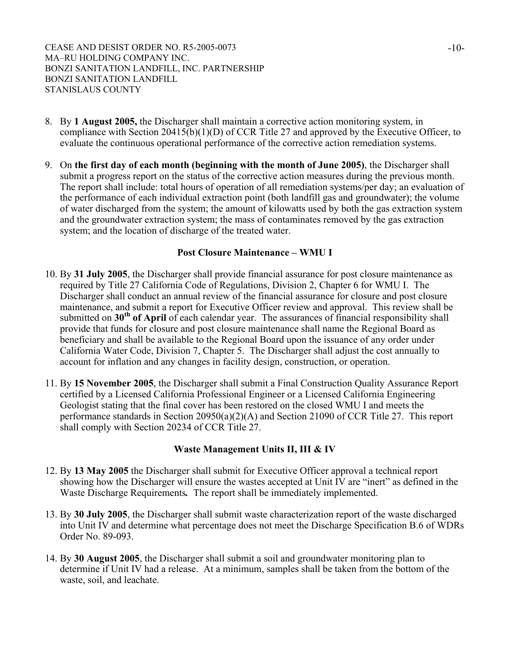- 8. By **1 August 2005,** the Discharger shall maintain a corrective action monitoring system, in compliance with Section 20415(b)(1)(D) of CCR Title 27 and approved by the Executive Officer, to evaluate the continuous operational performance of the corrective action remediation systems.
- 9. On **the first day of each month (beginning with the month of June 2005)**, the Discharger shall submit a progress report on the status of the corrective action measures during the previous month. The report shall include: total hours of operation of all remediation systems/per day; an evaluation of the performance of each individual extraction point (both landfill gas and groundwater); the volume of water discharged from the system; the amount of kilowatts used by both the gas extraction system and the groundwater extraction system; the mass of contaminates removed by the gas extraction system; and the location of discharge of the treated water.

#### **Post Closure Maintenance – WMU I**

- 10. By **31 July 2005**, the Discharger shall provide financial assurance for post closure maintenance as required by Title 27 California Code of Regulations, Division 2, Chapter 6 for WMU I. The Discharger shall conduct an annual review of the financial assurance for closure and post closure maintenance, and submit a report for Executive Officer review and approval. This review shall be submitted on **30<sup>th</sup> of April** of each calendar year. The assurances of financial responsibility shall provide that funds for closure and post closure maintenance shall name the Regional Board as beneficiary and shall be available to the Regional Board upon the issuance of any order under California Water Code, Division 7, Chapter 5. The Discharger shall adjust the cost annually to account for inflation and any changes in facility design, construction, or operation.
- 11. By **15 November 2005**, the Discharger shall submit a Final Construction Quality Assurance Report certified by a Licensed California Professional Engineer or a Licensed California Engineering Geologist stating that the final cover has been restored on the closed WMU I and meets the performance standards in Section 20950(a)(2)(A) and Section 21090 of CCR Title 27. This report shall comply with Section 20234 of CCR Title 27.

#### **Waste Management Units II, III & IV**

- 12. By **13 May 2005** the Discharger shall submit for Executive Officer approval a technical report showing how the Discharger will ensure the wastes accepted at Unit IV are "inert" as defined in the Waste Discharge Requirements*.* The report shall be immediately implemented.
- 13. By **30 July 2005**, the Discharger shall submit waste characterization report of the waste discharged into Unit IV and determine what percentage does not meet the Discharge Specification B.6 of WDRs Order No. 89-093.
- 14. By **30 August 2005**, the Discharger shall submit a soil and groundwater monitoring plan to determine if Unit IV had a release. At a minimum, samples shall be taken from the bottom of the waste, soil, and leachate.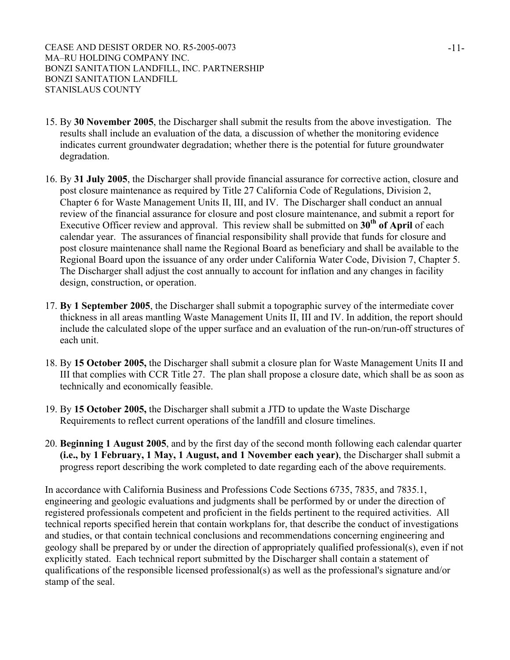- 15. By **30 November 2005**, the Discharger shall submit the results from the above investigation. The results shall include an evaluation of the data*,* a discussion of whether the monitoring evidence indicates current groundwater degradation; whether there is the potential for future groundwater degradation.
- 16. By **31 July 2005**, the Discharger shall provide financial assurance for corrective action, closure and post closure maintenance as required by Title 27 California Code of Regulations, Division 2, Chapter 6 for Waste Management Units II, III, and IV. The Discharger shall conduct an annual review of the financial assurance for closure and post closure maintenance, and submit a report for Executive Officer review and approval. This review shall be submitted on 30<sup>th</sup> of April of each calendar year. The assurances of financial responsibility shall provide that funds for closure and post closure maintenance shall name the Regional Board as beneficiary and shall be available to the Regional Board upon the issuance of any order under California Water Code, Division 7, Chapter 5. The Discharger shall adjust the cost annually to account for inflation and any changes in facility design, construction, or operation.
- 17. **By 1 September 2005**, the Discharger shall submit a topographic survey of the intermediate cover thickness in all areas mantling Waste Management Units II, III and IV. In addition, the report should include the calculated slope of the upper surface and an evaluation of the run-on/run-off structures of each unit.
- 18. By **15 October 2005,** the Discharger shall submit a closure plan for Waste Management Units II and III that complies with CCR Title 27. The plan shall propose a closure date, which shall be as soon as technically and economically feasible.
- 19. By **15 October 2005,** the Discharger shall submit a JTD to update the Waste Discharge Requirements to reflect current operations of the landfill and closure timelines.
- 20. **Beginning 1 August 2005**, and by the first day of the second month following each calendar quarter **(i.e., by 1 February, 1 May, 1 August, and 1 November each year)**, the Discharger shall submit a progress report describing the work completed to date regarding each of the above requirements.

In accordance with California Business and Professions Code Sections 6735, 7835, and 7835.1, engineering and geologic evaluations and judgments shall be performed by or under the direction of registered professionals competent and proficient in the fields pertinent to the required activities. All technical reports specified herein that contain workplans for, that describe the conduct of investigations and studies, or that contain technical conclusions and recommendations concerning engineering and geology shall be prepared by or under the direction of appropriately qualified professional(s), even if not explicitly stated. Each technical report submitted by the Discharger shall contain a statement of qualifications of the responsible licensed professional(s) as well as the professional's signature and/or stamp of the seal.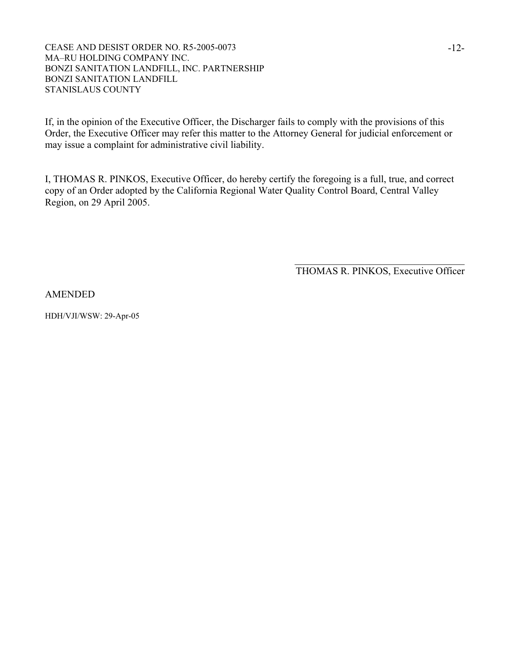If, in the opinion of the Executive Officer, the Discharger fails to comply with the provisions of this Order, the Executive Officer may refer this matter to the Attorney General for judicial enforcement or may issue a complaint for administrative civil liability.

I, THOMAS R. PINKOS, Executive Officer, do hereby certify the foregoing is a full, true, and correct copy of an Order adopted by the California Regional Water Quality Control Board, Central Valley Region, on 29 April 2005.

 $\mathcal{L}_\text{max}$  and  $\mathcal{L}_\text{max}$  and  $\mathcal{L}_\text{max}$  and  $\mathcal{L}_\text{max}$  and  $\mathcal{L}_\text{max}$  and  $\mathcal{L}_\text{max}$ 

THOMAS R. PINKOS, Executive Officer

AMENDED

HDH/VJI/WSW: 29-Apr-05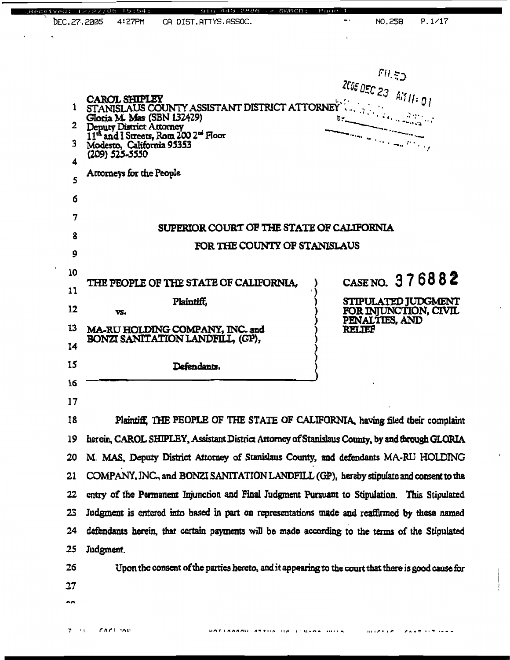| Received:<br>DEC.27.2005                         | 4:27PM                                                                                                                                                               | CA DIST.ATTYS.ASSOC.                                                | 2886                                                                                               |        | NO.258                         | P.1/17                                       |
|--------------------------------------------------|----------------------------------------------------------------------------------------------------------------------------------------------------------------------|---------------------------------------------------------------------|----------------------------------------------------------------------------------------------------|--------|--------------------------------|----------------------------------------------|
|                                                  |                                                                                                                                                                      |                                                                     |                                                                                                    |        |                                |                                              |
| $\mathbf{1}$<br>$\mathbf{2}$<br>3<br>4<br>5<br>б | Deputy District Attorney<br>11 <sup>th</sup> and I Streets, Rom 200 2 <sup>nd</sup> Floor<br>Modesto, California 95353<br>(209) 525-5550<br>Attorneys for the People |                                                                     | CAROL SHIPLEY<br>STANISLAUS COUNTY ASSISTANT DISTRICT ATTORNEY                                     |        | F11.52<br>205 DEC 23 AT 11: 01 |                                              |
| 7                                                |                                                                                                                                                                      |                                                                     |                                                                                                    |        |                                |                                              |
| 8                                                |                                                                                                                                                                      |                                                                     | SUPERIOR COURT OF THE STATE OF CALIFORNIA                                                          |        |                                |                                              |
| 9                                                |                                                                                                                                                                      |                                                                     | FOR THE COUNTY OF STANISLAUS                                                                       |        |                                |                                              |
| 10                                               |                                                                                                                                                                      |                                                                     |                                                                                                    |        |                                |                                              |
| 11                                               |                                                                                                                                                                      |                                                                     | THE PEOPLE OF THE STATE OF CALIFORNIA,                                                             |        |                                | CASE NO. 376882                              |
| 12                                               | VS.                                                                                                                                                                  | Plaintiff,                                                          |                                                                                                    |        |                                | STIPULATED JUDGMENT<br>FOR INJUNCTION, CIVIL |
| 13                                               |                                                                                                                                                                      | MA-RU HOLDING COMPANY, INC. and<br>BONZI SANITATION LANDFILL, (GP), |                                                                                                    | RELIEF | PENALTIES, AND                 |                                              |
| 14                                               |                                                                                                                                                                      |                                                                     |                                                                                                    |        |                                |                                              |
| 15                                               |                                                                                                                                                                      | Defendants.                                                         |                                                                                                    |        |                                |                                              |
| 16                                               |                                                                                                                                                                      |                                                                     |                                                                                                    |        |                                |                                              |
| 17                                               |                                                                                                                                                                      |                                                                     |                                                                                                    |        |                                |                                              |
| 18                                               |                                                                                                                                                                      |                                                                     | Plaintiff, THE PEOPLE OF THE STATE OF CALIFORNIA, having filed their complaint                     |        |                                |                                              |
| 19                                               |                                                                                                                                                                      |                                                                     | herein, CAROL SHIPLEY, Assistant District Attorney of Stanislaus County, by and through GLORIA     |        |                                |                                              |
| 20                                               |                                                                                                                                                                      |                                                                     | M. MAS, Deputy District Attorney of Stanislaus County, and defendants MA-RU HOLDING                |        |                                |                                              |
| 21                                               |                                                                                                                                                                      |                                                                     | COMPANY, INC., and BONZI SANITATION LANDFILL (GP), hereby stipulate and consent to the             |        |                                |                                              |
| 22                                               |                                                                                                                                                                      |                                                                     | entry of the Permanent Injunction and Final Judgment Pursuant to Stipulation. This Stipulated      |        |                                |                                              |
| 23                                               |                                                                                                                                                                      |                                                                     | Judgment is entered into based in part on representations made and reaffirmed by these named       |        |                                |                                              |
| 24                                               |                                                                                                                                                                      |                                                                     | defendants herein, that certain payments will be made according to the terms of the Stipulated     |        |                                |                                              |
| 25                                               | Judgment.                                                                                                                                                            |                                                                     |                                                                                                    |        |                                |                                              |
| 26                                               |                                                                                                                                                                      |                                                                     | Upon the consent of the parties hereto, and it appearing to the court that there is good cause for |        |                                |                                              |
| 27                                               |                                                                                                                                                                      |                                                                     |                                                                                                    |        |                                |                                              |
| mm,                                              |                                                                                                                                                                      |                                                                     |                                                                                                    |        |                                |                                              |
| $7 - 1$                                          | $C_1C_1$ 'All                                                                                                                                                        |                                                                     | ATTILA IIA LIBRAA HILLA                                                                            |        | 111 L. P. A. L. P.             |                                              |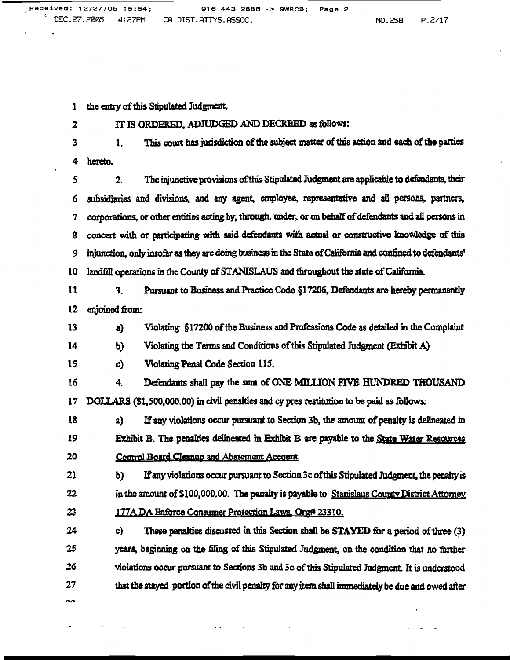the entry of this Stipulated Judgment,  $\mathbf{1}$ 

 $\overline{\mathbf{2}}$ 

IT IS ORDERED, ADJUDGED AND DECREED as follows:

This court has jurisdiction of the subject matter of this action and each of the parties 3  $\mathbf{1}$ . hereto.  $\boldsymbol{4}$ 

2. The injunctive provisions of this Stipulated Judgment are applicable to defendants, their  $\mathsf{S}$ subsidiaries and divisions, and any agent, employee, representative and all persons, partners, 6 corporations, or other entities acting by, through, under, or on behalf of defendants and all persons in 7 concert with or participating with said defendants with actual or constructive knowledge of this 8 injunction, only insofar as they are doing business in the State of California and confined to defendants' 9 landfill operations in the County of STANISLAUS and throughout the state of California. 10

11 Pursuant to Business and Practice Code §17206, Defendants are hereby permanently  $3<sub>1</sub>$  $12$ enioined from:

Violating §17200 of the Business and Professions Code as detailed in the Complaint 13 a)

Violating the Terms and Conditions of this Stipulated Judgment (Exhibit A) 14 P)

15 c) Violating Penal Code Section 115.

16  $4<sup>1</sup>$ Defendants shall pay the sum of ONE MILLION FIVE HUNDRED THOUSAND  $17$ DOLLARS (\$1,500,000,00) in civil penalties and cy pres restitution to be paid as follows:

18 If any violations occur pursuant to Section 3b, the amount of penalty is delineated in  $a)$ 19 Exhibit B. The penalties delineated in Exhibit B are payable to the State Water Resources 20 Control Board Cleanup and Abatement Account.

21 If any violations occur pursuant to Section 3c of this Stipulated Judgment, the penalty is b) 22 in the amount of \$100,000.00. The penalty is payable to Stanislaus County District Attorney 23 177A DA Enforce Consumer Protection Laws, Org# 23310.

24 These penalties discussed in this Section shall be STAYED for a period of three (3) c) 25 years, beginning on the filing of this Stipulated Judgment, on the condition that no further violations occur pursuant to Sections 3b and 3c of this Stipulated Judgment. It is understood 26 27 that the stayed portion of the civil penalty for any item shall immediately be due and owed after

ъÃ

 $\frac{1}{2}$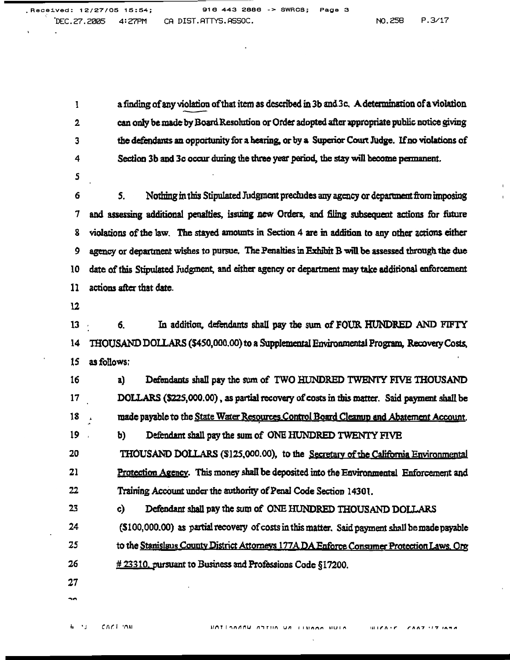a finding of any violation of that item as described in 3b and 3c. A determination of a violation  $\mathbf{I}$ can only be made by Board Resolution or Order adopted after appropriate public notice giving  $\overline{2}$ the defendants an opportunity for a hearing, or by a Superior Court Judge. If no violations of 3 Section 3b and 3c occur during the three year period, the stay will become permanent. 4

S

Nothing in this Stipulated Judgment precludes any agency or department from imposing 6  $5<sub>1</sub>$ and assessing additional penalties, issuing new Orders, and filing subsequent actions for future 7 violations of the law. The stayed amounts in Section 4 are in addition to any other actions either 8 agency or department wishes to pursue. The Penalties in Exhibit B will be assessed through the due 9 date of this Stipulated Judgment, and either agency or department may take additional enforcement 10 actions after that date. 11

 $12$ 

In addition, defendants shall pay the sum of FOUR HUNDRED AND FIFTY  $13$ 6. THOUSAND DOLLARS (\$450,000.00) to a Supplemental Environmental Program, Recovery Costs,  $14$ as follows: 15

Defendants shall pay the sum of TWO HUNDRED TWENTY FIVE THOUSAND 16 a) 17 DOLLARS (\$225,000.00), as partial recovery of costs in this matter. Said payment shall be 18 made payable to the State Water Resources Control Board Cleanup and Abatement Account. 19 b) Defendant shall pay the sum of ONE HUNDRED TWENTY FIVE

20 THOUSAND DOLLARS (\$125,000.00), to the Secretary of the California Environmental 21 Protection Agency. This money shall be deposited into the Environmental Enforcement and 22 Training Account under the authority of Penal Code Section 14301.

c) Defendant shall pay the sum of ONE HUNDRED THOUSAND DOLLARS

24 (\$100,000.00) as partial recovery of costs in this matter. Said payment shall be made payable 25 to the Stanislaus County District Attorneys 177A DA Enforce Consumer Protection Laws, Org 26 # 23310, pursuant to Business and Professions Code §17200.

 $27$ 

23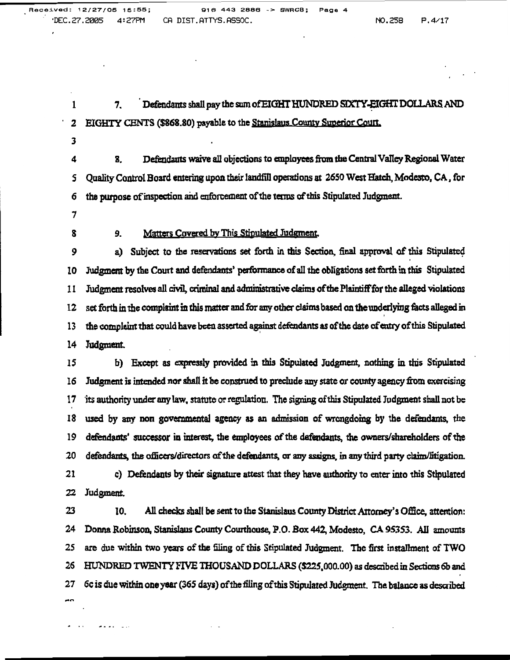Defendants shall pay the sum of EIGHT HUNDRED SIXTY-EIGHT DOLLARS AND  $\mathbf{1}$ 7.  $\overline{\mathbf{c}}$ EIGHTY CENTS (\$868.80) payable to the Stanislaus County Superior Court.

3

Defendants waive all objections to employees from the Central Valley Regional Water 4 8. Quality Control Board entering upon their landfill operations at 2650 West Hatch, Modesto, CA, for 5 the purpose of inspection and enforcement of the terms of this Stipulated Judgment. 6

7

8

#### 9. Matters Covered by This Stipulated Judgment,

9 a) Subject to the reservations set forth in this Section, final approval of this Stipulated Judgment by the Court and defendants' performance of all the obligations set forth in this Stipulated 10 Judgment resolves all civil, criminal and administrative claims of the Plaintiff for the alleged violations 11 set forth in the complaint in this matter and for any other claims based on the underlying facts alleged in 12 the complaint that could have been asserted against defendants as of the date of entry of this Stipulated 13  $14$ Judgment.

15 b) Except as expressly provided in this Stipulated Judgment, nothing in this Stipulated 16 Judgment is intended nor shall it be construed to preclude any state or county agency from exercising 17 its authority under any law, statute or regulation. The signing of this Stipulated Judgment shall not be 18 used by any non governmental agency as an admission of wrongdoing by the defendants, the 19 defendants' successor in interest, the employees of the defendants, the owners/shareholders of the 20 defendants, the officers/directors of the defendants, or any assigns, in any third party claim/litigation. 21 c) Defendants by their signature attest that they have authority to enter into this Stinulated

22 Judgment.

 $\overline{a}$   $\overline{a}$   $\overline{a}$   $\overline{a}$   $\overline{a}$   $\overline{a}$   $\overline{a}$   $\overline{a}$   $\overline{a}$   $\overline{a}$   $\overline{a}$   $\overline{a}$   $\overline{a}$   $\overline{a}$   $\overline{a}$   $\overline{a}$   $\overline{a}$   $\overline{a}$   $\overline{a}$   $\overline{a}$   $\overline{a}$   $\overline{a}$   $\overline{a}$   $\overline{a}$   $\overline{$ 

23 10. All checks shall be sent to the Stanislaus County District Attorney's Office, attention: Donna Robinson, Stanislaus County Courthouse, P.O. Box 442, Modesto, CA 95353. All amounts 24 25 are due within two years of the filing of this Stipulated Judgment. The first installment of TWO 26 HUNDRED TWENTY FIVE THOUSAND DOLLARS (\$225,000.00) as described in Sections 6b and 6c is due within one year (365 days) of the filing of this Stipulated Judgment. The balance as described 27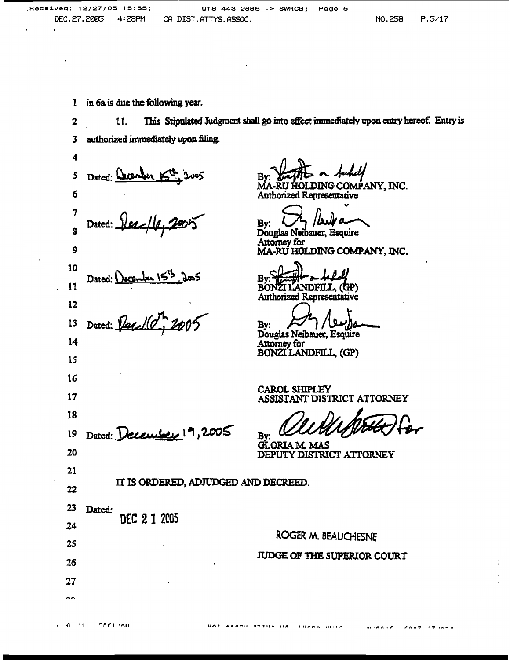in 6a is due the following year.  $\mathbf{1}$ 

This Stipulated Judgment shall go into effect immediately upon entry hereof. Entry is  $\mathbf{2}$ 11. authorized immediately upon filing. 3

4 Dated: Cacanber 5  $\frac{1}{2}$ 6  $\boldsymbol{\tau}$ Dated: ġ 9 10 Dated: December  $15^{15}$ , 2005<br>Dated: *Percil C<sup>74</sup>, 2005* 11  $12$ 13  $14$ 15 16  $17$ 18 Dated: December 19, 2005 19 20  $21$ IT IS ORDERED. ADJUDGED AND DECREED. 22 --

**RU HOLDING COMPANY, INC.** Authorized Representative

Page 5

Bv:

Douglas Neibauer, Esquire Attorney for<br>MA-RU HOLDING COMPANY, INC.

BONŽI LANDFILL. (GP) **Authorized Representative** 

B٧

Douglas Neibauer, Esquire Attorney for BONZILANDFILL, (GP)

**CAROL SHIPLEY** ASSISTANT DISTRICT ATTORNEY

Βv

GLORIA M. MAS DEPUTY DISTRICT ATTORNEY

| دے             | Dated: |              |                                  |
|----------------|--------|--------------|----------------------------------|
| 24             |        | DEC 2 1 2005 | ROGER M. BEAUCHESNE              |
| 25             |        | $\bullet$    |                                  |
| 26             |        |              | JUDGE OF THE SUPERIOR COURT<br>٠ |
| 27             |        |              |                                  |
| $\overline{a}$ |        |              |                                  |

 $600717707$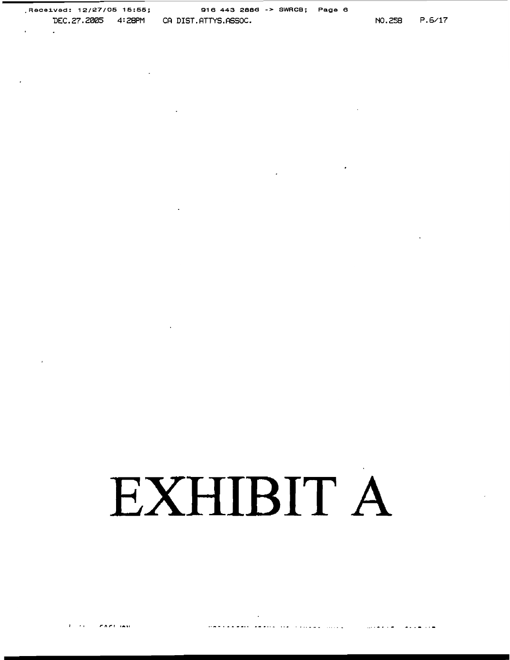$\ddot{\phantom{a}}$ 

 $\sim 100$   $\mu$ 

 $\mathcal{L}^{\mathcal{L}}$  and  $\mathcal{L}^{\mathcal{L}}$  .

 $\sim$ 

 $\mathbf{r}$ 

 $\sim$ 

## EXHIBIT A

 $\cdot$ 

 $\mathcal{L}^{\text{max}}_{\text{max}}$  , where  $\mathcal{L}^{\text{max}}_{\text{max}}$ 

 $\sim$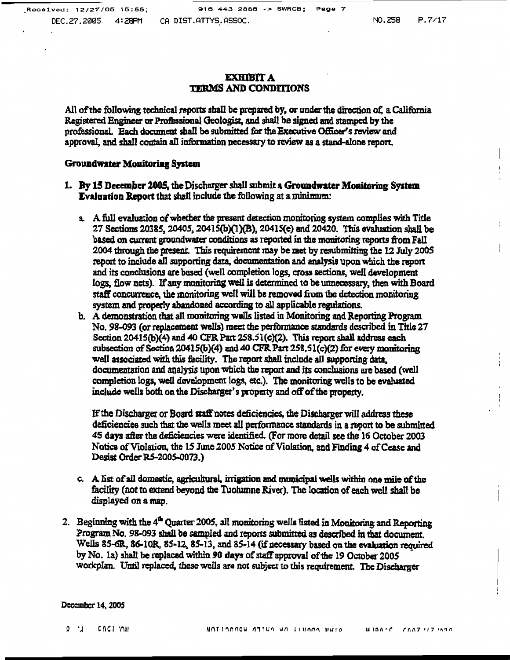#### **EXHIBIT A TERMS AND CONDITIONS**

All of the following technical reports shall be prepared by, or under the direction of, a California Registered Engineer or Professional Geologist, and shall be signed and stamped by the professional. Each document shall be submitted for the Executive Officer's review and approval, and shall contain all information necessary to review as a stand-alone report.

#### **Groundwater Monitoring System**

- 1. By 15 December 2005, the Discharger shall submit a Groundwater Monitoring System **Evaluation Report that shall include the following at a minimum:** 
	- a. A full evaluation of whether the present detection monitoring system complies with Title 27 Sections 20385, 20405, 20415(b)(1)(B), 20415(e) and 20420. This evaluation shall be based on current groundwater conditions as reported in the monitoring reports from Fall 2004 through the present. This requirement may be met by resubmitting the 12 July 2005 report to include all supporting data, documentation and analysis upon which the report and its conclusions are based (well completion logs, cross sections, well development logs, flow nets). If any monitoring well is determined to be unnecessary, then with Board staff concurrence, the monitoring well will be removed from the detection monitoring system and properly abandoned according to all applicable regulations.
	- b. A demonstration that all monitoring wells listed in Monitoring and Reporting Program No. 98-093 (or replacement wells) meet the performance standards described in Title 27 Section 20415(b)(4) and 40 CFR Part 258.51(c)(2). This report shall address each subsection of Section 20415(b)(4) and 40 CFR Part 258,51(c)(2) for every monitoring well associated with this facility. The report shall include all supporting data, documentation and analysis upon which the report and its conclusions are based (well completion logs, well development logs, etc.). The monitoring wells to be evaluated include wells both on the Discharger's property and off of the property.

If the Discharger or Board staff notes deficiencies, the Discharger will address these deficiencies such that the wells meet all performance standards in a report to be submitted 45 days after the deficiencies were identified. (For more detail see the 16 October 2003 Notice of Violation, the 15 June 2005 Notice of Violation, and Finding 4 of Cease and Desist Order R5-2005-0073.)

- c. A list of all domestic, agricultural, irrigation and municipal wells within one mile of the facility (not to extend beyond the Tuolumne River). The location of each well shall be displayed on a map.
- 2. Beginning with the 4<sup>th</sup> Quarter 2005, all monitoring wells listed in Monitoring and Reporting Program No. 98-093 shall be sampled and reports submitted as described in that document. Wells 85-6R, 86-10R, 85-12, 85-13, and 85-14 (if necessary based on the evaluation required by No. 1a) shall be replaced within 90 days of staff approval of the 19 October 2005 workplan. Until replaced, these wells are not subject to this requirement. The Discharger

December 14, 2005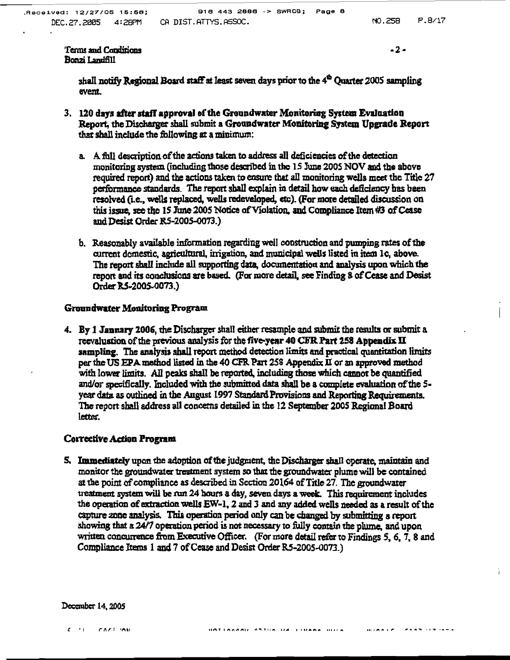$-2-$ 

shall notify Regional Board staff at least seven days prior to the 4<sup>th</sup> Ouarter 2005 sampling event.

- 3. 120 days after staff approval of the Groundwater Monitoring System Evaluation Report, the Discharger shall submit a Groundwater Monitoring System Upgrade Report that shall include the following at a minimum:
	- a. A full description of the actions taken to address all deficiencies of the detection monitoring system (including those described in the 15 June 2005 NOV and the above required report) and the actions taken to ensure that all monitoring wells meet the Title 27 performance standards. The report shall explain in detail how each deficiency has been resolved (i.e., wells replaced, wells redeveloped, etc). (For more detailed discussion on this issue, see the 15 June 2005 Notice of Violation, and Compliance Item #3 of Cease and Desist Order R5-2005-0073.)
	- b. Reasonably available information regarding well construction and pumping rates of the current domestic, agricultural, irrigation, and municipal wells listed in item 1c, above. The report shall include all supporting data, documentation and analysis upon which the report and its conclusions are based. (For more detail, see Finding 8 of Cease and Desist Order RS-2005-0073.)

#### Groundwater Monitoring Program

4. By 1 January 2006, the Discharger shall either resample and submit the results or submit a reevaluation of the previous analysis for the five-year 40 CFR Part 258 Appendix II sampling. The analysis shall report method detection limits and practical quantitation limits per the US EPA method listed in the 40 CFR Part 258 Appendix II or an approved method with lower limits. All peaks shall be reported, including those which cannot be quantified and/or specifically. Included with the submitted data shall be a complete evaluation of the 5year data as outlined in the August 1997 Standard Provisions and Reporting Requirements. The report shall address all concerns detailed in the 12 September 2005 Regional Board letter.

#### **Corrective Action Program**

5. Immediately upon the adoption of the judgment, the Discharger shall operate, maintain and monitor the groundwater treatment system so that the groundwater plume will be contained at the point of compliance as described in Section 20164 of Title 27. The groundwater treatment system will be run 24 hours a day, seven days a week. This requirement includes the operation of extraction wells EW-1, 2 and 3 and any added wells needed as a result of the capture zone analysis. This operation period only can be changed by submitting a report showing that a 24/7 operation period is not necessary to fully contain the plume, and upon written concurrence from Executive Officer. (For more detail refer to Findings 5, 6, 7, 8 and Compliance Items 1 and 7 of Cease and Desist Order R5-2005-0073.)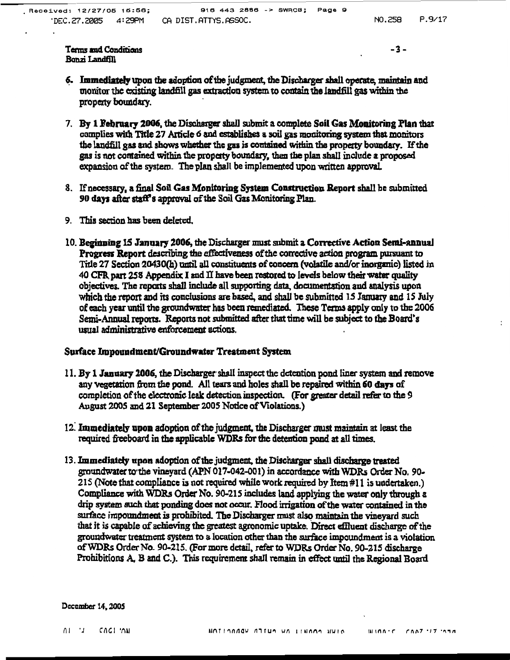$\ddot{\phantom{a}}$ 

Terms and Conditions Bonzi Landfill

 $-3-$ 

- 6. Immediately upon the adoption of the judgment, the Discharger shall operate, maintain and monitor the existing landfill gas extraction system to contain the landfill gas within the property boundary.
- 7. By 1 February 2006, the Discharger shall submit a complete Soil Gas Monitoring Plan that complies with Title 27 Article 6 and establishes a soil gas monitoring system that monitors the landfill gas and shows whether the gas is contained within the property boundary. If the gas is not contained within the property boundary, then the plan shall include a proposed expansion of the system. The plan shall be implemented upon written approval.
- 8. If necessary, a final Soil Gas Monitoring System Construction Report shall be submitted 90 days after staff's approval of the Soil Gas Monitoring Plan.
- 9. This section has been deleted.
- 10. Beginning 15 January 2006, the Discharger must submit a Corrective Action Semi-annual Progress Report describing the effectiveness of the corrective action program pursuant to Title 27 Section 20430(h) until all constituents of concern (volatile and/or inorganic) listed in 40 CFR part 258 Appendix I and II have been restored to levels below their water quality objectives. The reports shall include all supporting data, documentation and analysis upon which the report and its conclusions are based, and shall be submitted 15 January and 15 July of each year until the groundwater has been remediated. These Terms apply only to the 2006 Semi-Annual reports. Reports not submitted after that time will be subject to the Board's usual administrative enforcement actions.

#### Surface Impoundment/Groundwater Treatment System

- 11. By 1 January 2006, the Discharger shall inspect the detention pond liner system and remove any vegetation from the pond. All tears and holes shall be repaired within 60 days of completion of the electronic leak detection inspection. (For greater detail refer to the 9 August 2005 and 21 September 2005 Notice of Violations.)
- 12. Immediately upon adoption of the judgment, the Discharger must maintain at least the required freeboard in the applicable WDRs for the detention pond at all times.
- 13. Immediately upon adoption of the judgment, the Discharger shall discharge treated groundwater to the vineyard (APN 017-042-001) in accordance with WDRs Order No. 90-215 (Note that compliance is not required while work required by Item #11 is undertaken.) Compliance with WDRs Order No. 90-215 includes land applying the water only through a drip system such that ponding does not occur. Flood irrigation of the water contained in the surface impoundment is prohibited. The Discharger must also maintain the vineyard such that it is capable of achieving the greatest agronomic uptake. Direct effluent discharge of the groundwater treatment system to a location other than the surface impoundment is a violation of WDRs Order No. 90-215. (For more detail, refer to WDRs Order No. 90-215 discharge Prohibitions A, B and C.). This requirement shall remain in effect until the Regional Board

December 14, 2005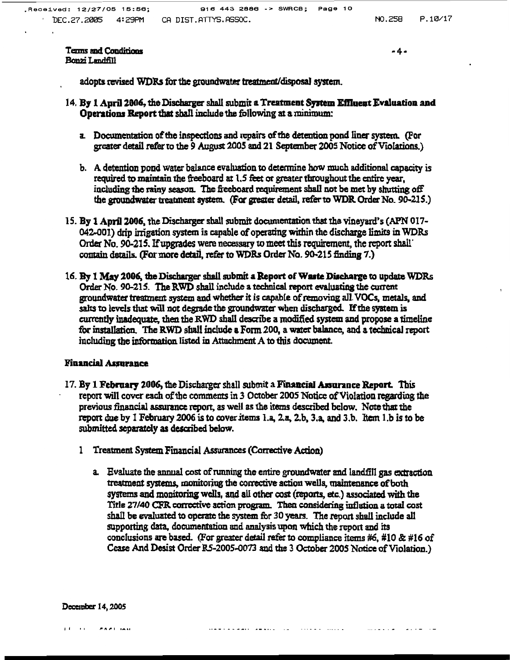$-4-$ 

adopts revised WDRs for the groundwater treatment/disposal system.

- 14. By 1 April 2006, the Discharger shall submit a Treatment System Effluent Evaluation and Operations Report that shall include the following at a minimum:
	- a. Documentation of the inspections and repairs of the detention pond liner system. (For greater detail refer to the 9 August 2005 and 21 September 2005 Notice of Violations.)
	- b. A detention pond water balance evaluation to determine how much additional capacity is required to maintain the freeboard at 1.5 feet or greater throughout the entire year, including the rainy season. The freeboard requirement shall not be met by shutting off the groundwater treatment system. (For greater detail, refer to WDR Order No. 90-215.)
- 15. By 1 April 2006, the Discharger shall submit documentation that the vineyard's (APN 017-042-001) drip irrigation system is capable of operating within the discharge limits in WDRs Order No. 90-215. If upgrades were necessary to meet this requirement, the report shall contain details. (For more detail, refer to WDRs Order No. 90-215 finding 7.)
- 16. By 1 May 2006, the Discharger shall submit a Report of Waste Discharge to update WDRs Order No. 90-215. The RWD shall include a technical report evaluating the current groundwater treatment system and whether it is capable of removing all VOCs, metals, and salts to levels that will not degrade the groundwater when discharged. If the system is currently inadequate, then the RWD shall describe a modified system and propose a timeline for installation. The RWD shall include a Form 200, a water balance, and a technical report including the information listed in Attachment A to this document.

#### **Financial Assurance**

- 17. By 1 February 2006, the Discharger shall submit a Financial Assurance Report. This report will cover each of the comments in 3 October 2005 Notice of Violation regarding the previous financial assurance report, as well as the items described below. Note that the report due by 1 February 2006 is to cover items 1.a, 2.a, 2.b, 3.a, and 3.b. Item 1.b is to be submitted separately as described below.
	- 1 Treatment System Financial Assurances (Corrective Action)
		- a. Evaluate the annual cost of running the entire groundwater and landfill gas extraction treatment systems, monitoring the corrective action wells, maintenance of both systems and monitoring wells, and all other cost (reports, etc.) associated with the Title 27/40 CFR corrective action program. Then considering inflation a total cost shall be evaluated to operate the system for 30 years. The report shall include all supporting data, documentation and analysis upon which the report and its conclusions are based. (For greater detail refer to compliance items #6, #10 & #16 of Cease And Desist Order RS-2005-0073 and the 3 October 2005 Notice of Violation.)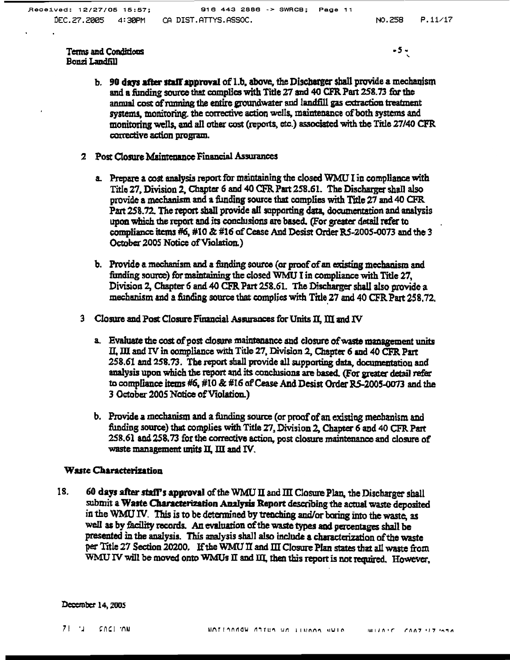$-5 -$ 

- b. 90 days after staff approval of 1.b, above, the Discharger shall provide a mechanism and a funding source that complies with Title 27 and 40 CFR Part 258.73 for the annual cost of running the entire groundwater and landfill gas extraction treatment systems, monitoring, the corrective action wells, maintenance of both systems and monitoring wells, and all other cost (reports, etc.) associated with the Title 27/40 CFR corrective action program.
- 2 Post Closure Maintenance Financial Assurances
	- a. Prepare a cost analysis report for maintaining the closed WMU I in compliance with Title 27. Division 2, Chapter 6 and 40 CFR Part 258.61. The Discharger shall also provide a mechanism and a funding source that complies with Title 27 and 40 CFR. Part 258.72. The report shall provide all supporting data, documentation and analysis upon which the report and its conclusions are based. (For greater detail refer to compliance items #6, #10 & #16 of Cease And Desist Order R5-2005-0073 and the 3 October 2005 Notice of Violation.)
	- b. Provide a mechanism and a funding source (or proof of an existing mechanism and funding source) for maintaining the closed WMU I in compliance with Title 27. Division 2. Chapter 6 and 40 CFR Part 258.61. The Discharger shall also provide a mechanism and a funding source that complies with Title 27 and 40 CFR Part 258.72.
- 3 Closure and Post Closure Financial Assurances for Units II, III and IV
	- a. Evaluate the cost of post closure maintenance and closure of waste management units II, III and IV in compliance with Title 27, Division 2, Chapter 6 and 40 CFR Part 258.61 and 258.73. The report shall provide all supporting data, documentation and analysis upon which the report and its conclusions are based. (For greater detail refer to compliance items #6, #10 & #16 of Cease And Desist Order R5-2005-0073 and the 3 October 2005 Notice of Violation.)
	- b. Provide a mechanism and a funding source (or proof of an existing mechanism and funding source) that complies with Title 27, Division 2, Chapter 6 and 40 CFR Part 258.61 and 258.73 for the corrective action, post closure maintenance and closure of waste management units II, III and IV.

#### Waste Characterization

18. 60 days after staff's approval of the WMU II and III Closure Plan, the Discharger shall submit a Waste Characterization Analysis Report describing the actual waste deposited in the WMU IV. This is to be determined by trenching and/or boring into the waste, as well as by facility records. An evaluation of the waste types and nercentages shall be presented in the analysis. This analysis shall also include a characterization of the waste per Title 27 Section 20200. If the WMU II and III Closure Plan states that all waste from WMU IV will be moved onto WMUs II and III, then this report is not required. However,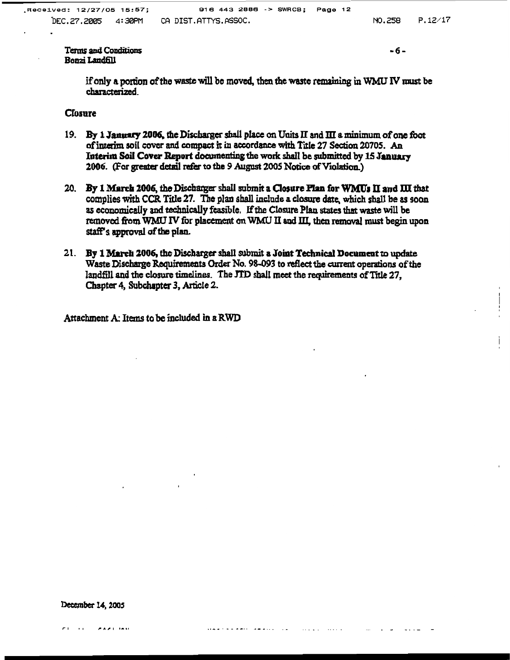$-6-$ 

if only a portion of the waste will be moved, then the waste remaining in WMU IV must be characterized

#### **Closure**

- 19. By 1 January 2006, the Discharger shall place on Units II and III a minimum of one foot of interim soil cover and compact it in accordance with Title 27 Section 20705. An Interim Soil Cover Report documenting the work shall be submitted by 15 January 2006. (For greater detail refer to the 9 August 2005 Notice of Violation.)
- 20. By 1 March 2006, the Discharger shall submit a Closure Plan for WMUs II and III that complies with CCR Title 27. The plan shall include a closure date, which shall be as soon as economically and technically feasible. If the Closure Plan states that waste will be removed from WMU IV for placement on WMU II and III, then removal must begin upon staff's approval of the plan.
- 21. By 1 March 2006, the Discharger shall submit a Joint Technical Document to update Waste Discharge Requirements Order No. 98-093 to reflect the current operations of the landfill and the closure timelines. The JTD shall meet the requirements of Title 27, Chapter 4, Subchapter 3, Article 2.

Attachment A: Items to be included in a RWD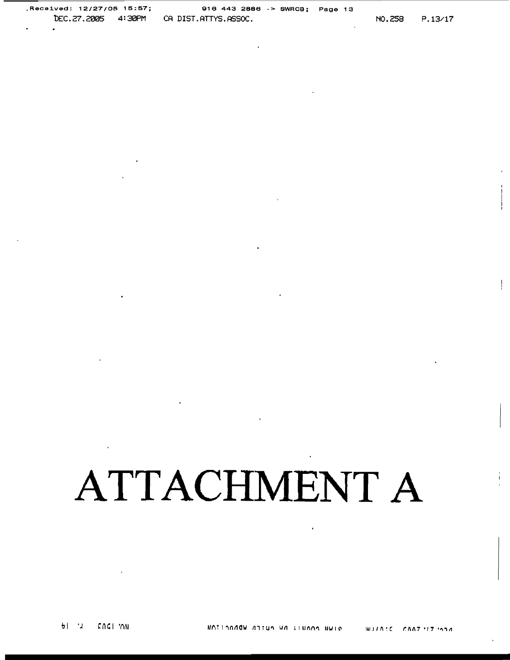Received: 12/27/05 15:57; 916 443 2886 -> SWRCB; Page 13 DEC.27.2005 4:30PM CA DIST.ATTYS.ASSOC.

### **ATTACHMENT A**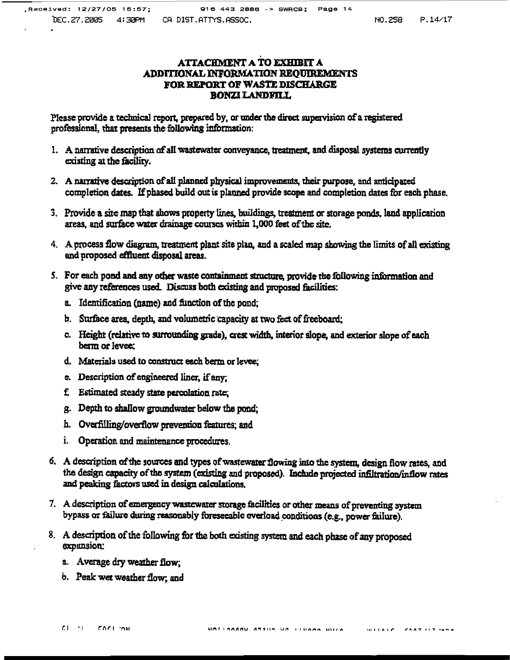#### ATTACHMENT A TO EXHIBIT A ADDITIONAL INFORMATION REQUIREMENTS FOR REPORT OF WASTE DISCHARGE **BONZI LANDFILL**

Please provide a technical report, prepared by, or under the direct supervision of a registered professional, that presents the following information:

- 1. A narrative description of all wastewater conveyance, treatment, and disposal systems currently existing at the facility.
- 2. A narrative description of all planned physical improvements, their purpose, and anticipated completion dates. If phased build out is planned provide scope and completion dates for each phase.
- 3. Provide a site map that shows property lines, buildings, treatment or storage ponds, land application areas, and surface water drainage courses within 1,000 feet of the site.
- 4. A process flow diagram, treatment plant site plan, and a scaled map showing the limits of all existing and proposed effluent disposal areas.
- 5. For each pond and any other waste containment structure, provide the following information and give any references used. Discuss both existing and proposed facilities:
	- a. Identification (name) and function of the pond;
	- b. Surface area, depth, and volumetric capacity at two feet of freeboard;
	- c. Height (relative to surrounding grade), crest width, interior slope, and exterior slope of each berm or levee:
	- d. Materials used to construct each berm or levee:
	- e. Description of engineered liner, if any.
	- f. Estimated steady state percolation rate;
	- g. Depth to shallow groundwater below the pond;
	- h. Overfilling/overflow prevention features; and
	- i. Operation and maintenance procedures.
- 6. A description of the sources and types of wastewater flowing into the system, design flow rates, and the design capacity of the system (existing and proposed). Include projected infiltration/inflow rates and peaking factors used in design calculations.
- 7. A description of emergency wastewater storage facilities or other means of preventing system bypass or failure during reasonably foreseeable overload conditions (e.g., power failure).
- 8. A description of the following for the both existing system and each phase of any proposed expansion:
	- a. Average dry weather flow;
	- b. Peak wet weather flow; and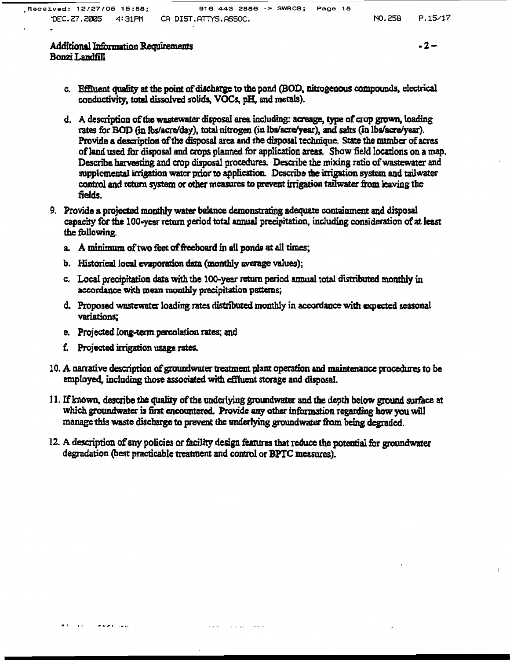#### $-2-$

#### Additional Information Requirements Bonzi Landfill

- c. Effluent quality at the point of discharge to the pond (BOD, nitrogenous compounds, electrical conductivity, total dissolved solids, VOCs, pH, and metals).
- d. A description of the wastewater disposal area including: acreage, type of crop grown, loading rates for BOD (in los/acre/day), total nitrogen (in los/acre/year), and salts (in los/acre/year). Provide a description of the disposal area and the disposal technique. State the number of acres of land used for disposal and crops planned for application areas. Show field locations on a map. Describe harvesting and crop disposal procedures. Describe the mixing ratio of wastewater and supplemental irrigation water prior to application. Describe the irrigation system and tailwater control and return system or other measures to prevent irrigation tailwater from leaving the fields.
- 9. Provide a projected monthly water balance demonstrating adequate containment and disposal capacity for the 100-year return period total annual precipitation, including consideration of at least the following
	- a. A minimum of two feet of freeboard in all ponds at all times;
	- b. Historical local evaporation data (monthly average values);
	- c. Local precipitation data with the 100-year return period annual total distributed monthly in accordance with mean monthly precipitation patterns:
	- d. Proposed wastewater loading rates distributed monthly in accordance with expected seasonal variations;
	- e. Projected long-term percolation rates; and
	- f. Projected irrigation usage rates.
- 10. A narrative description of groundwater treatment plant operation and maintenance procedures to be employed, including those associated with effluent storage and disposal.
- 11. If known, describe the quality of the underlying groundwater and the depth below ground surface at which groundwater is first encountered. Provide any other information regarding how you will manage this waste discharge to prevent the underlying groundwater from being degraded.
- 12. A description of any policies or facility design features that reduce the potential for groundwater degradation (best practicable treatment and control or BPTC measures).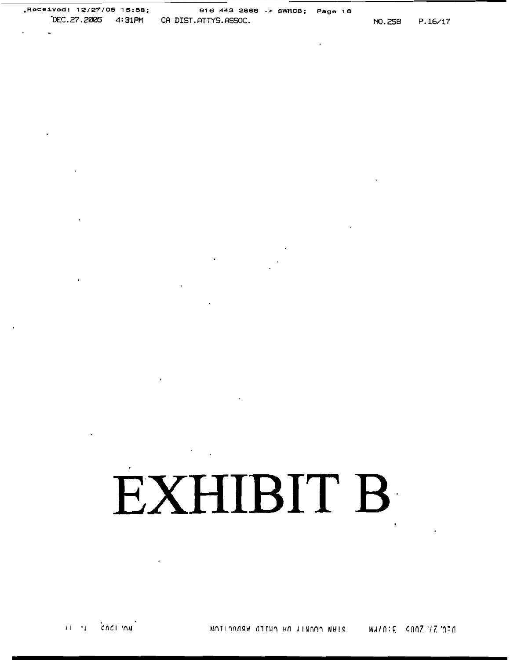# EXHIBIT B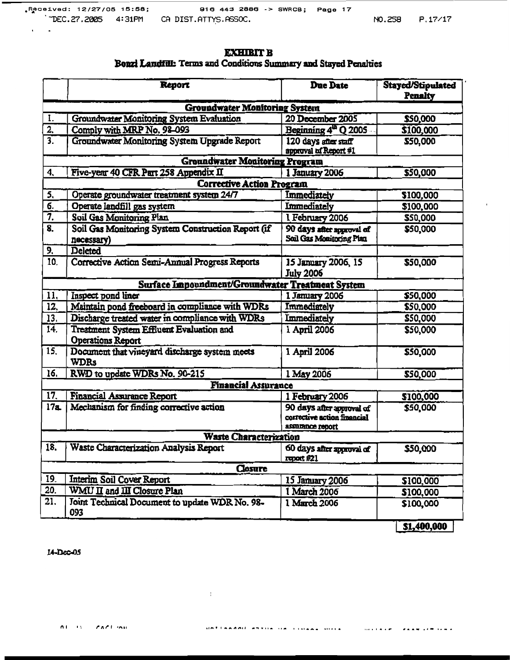#### **EXHIBIT B** Bonzi Landful: Terms and Conditions Summary and Stayed Penalties

|                                      | Report                                                                                                                    | <b>Due Date</b>                                                              | Stayed/Stipulated<br><b>Penalty</b> |  |  |  |  |
|--------------------------------------|---------------------------------------------------------------------------------------------------------------------------|------------------------------------------------------------------------------|-------------------------------------|--|--|--|--|
| <b>Groundwater Monitoring System</b> |                                                                                                                           |                                                                              |                                     |  |  |  |  |
| 1.                                   | Groundwater Monitoring System Evaluation                                                                                  | 20 December 2005                                                             | \$50,000                            |  |  |  |  |
| $\overline{2}$                       | Comply with MRP No. 98-093                                                                                                | Beginning 4 <sup>th</sup> Q 2005                                             | \$100,000                           |  |  |  |  |
| $\overline{3}$ .                     | Groundwater Monitoring System Upgrade Report                                                                              | 120 days after staff<br>approval of Report #1                                | \$50,000                            |  |  |  |  |
|                                      | <b>Groundwater Monitoring Program</b>                                                                                     |                                                                              |                                     |  |  |  |  |
| 4.                                   | Five-year 40 CFR Part 258 Appendix II                                                                                     | 1 January 2006                                                               | \$50,000                            |  |  |  |  |
|                                      | <b>Corrective Action Program</b>                                                                                          |                                                                              |                                     |  |  |  |  |
| 5,                                   | Operate groundwater treatment system 24/7                                                                                 | Immediately                                                                  | \$100,000                           |  |  |  |  |
| $\overline{6}$                       | Operate landfill gas system                                                                                               | <b>Immediately</b>                                                           | \$100,000                           |  |  |  |  |
| 7.                                   | Soil Gas Monitoring Plan                                                                                                  | 1 February 2006                                                              | \$50,000                            |  |  |  |  |
| $\overline{\mathbf{8}}$ .            | Soil Gas Monitoring System Construction Report (if<br>90 days after approval of<br>Soil Gas Monitoring Plan<br>necessary) |                                                                              | \$50,000                            |  |  |  |  |
| 9.                                   | Deleted                                                                                                                   |                                                                              |                                     |  |  |  |  |
| 10.                                  | Corrective Action Semi-Annual Progress Reports                                                                            | 15 January 2006, 15<br><b>July 2006</b>                                      | \$50,000                            |  |  |  |  |
|                                      | Surface Impoundment/Groundwater Treatment System                                                                          |                                                                              |                                     |  |  |  |  |
| 11,                                  | Inspect pond liner                                                                                                        | 1 January 2006                                                               | \$50,000                            |  |  |  |  |
| $\overline{12}$                      | Maintain pond freeboard in compliance with WDRs                                                                           | Immediately                                                                  | \$50,000                            |  |  |  |  |
| 13.                                  | Discharge treated water in compliance with WDRs                                                                           | <b>Immediately</b>                                                           | \$50,000                            |  |  |  |  |
| 14.                                  | Treatment System Effluent Evaluation and<br>Operations Report                                                             | 1 April 2006                                                                 | \$50,000                            |  |  |  |  |
| 15.                                  | Document that vineyard discharge system meets<br><b>WDRs</b>                                                              | 1 April 2006                                                                 | \$50,000                            |  |  |  |  |
| 16.                                  | RWD to update WDRs No. 90-215                                                                                             | 1 May 2006                                                                   | \$50,000                            |  |  |  |  |
|                                      | <b>Financial Assurance</b>                                                                                                |                                                                              |                                     |  |  |  |  |
| $\overline{17}$                      | Financial Assurance Report                                                                                                | 1 February 2006                                                              | \$100,000                           |  |  |  |  |
| 17a                                  | Mechanism for finding corrective action                                                                                   | 90 days after approval of<br>corrective action financial<br>assurance report | \$50,000                            |  |  |  |  |
|                                      | <b>Waste Characterization</b>                                                                                             |                                                                              |                                     |  |  |  |  |
| 18.                                  | Waste Characterization Analysis Report                                                                                    | 60 days after approval of<br>report #21                                      | \$50,000                            |  |  |  |  |
|                                      | <b>Closure</b>                                                                                                            |                                                                              |                                     |  |  |  |  |
| 19.                                  | <b>Interim Soil Cover Report</b>                                                                                          | 15 January 2006                                                              | \$100,000                           |  |  |  |  |
| 20.                                  | WMU II and III Closure Plan                                                                                               | 1 March 2006                                                                 | \$100,000                           |  |  |  |  |
| 21.                                  | Joint Technical Document to update WDR No. 98-<br>093                                                                     | 1 March 2006                                                                 | \$100,000                           |  |  |  |  |
|                                      |                                                                                                                           |                                                                              | \$1,400,000                         |  |  |  |  |

 $\mathcal{A}^{\mathrm{max}}$ 

14-Dec-05

 $\epsilon = 1$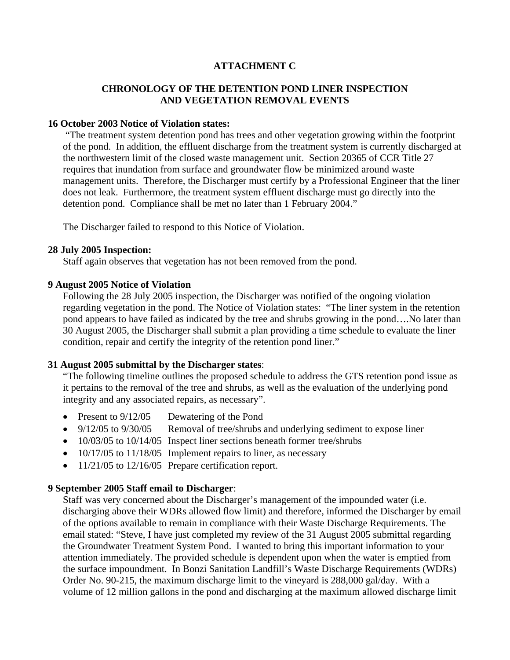#### **ATTACHMENT C**

#### **CHRONOLOGY OF THE DETENTION POND LINER INSPECTION AND VEGETATION REMOVAL EVENTS**

#### **16 October 2003 Notice of Violation states:**

 "The treatment system detention pond has trees and other vegetation growing within the footprint of the pond. In addition, the effluent discharge from the treatment system is currently discharged at the northwestern limit of the closed waste management unit. Section 20365 of CCR Title 27 requires that inundation from surface and groundwater flow be minimized around waste management units. Therefore, the Discharger must certify by a Professional Engineer that the liner does not leak. Furthermore, the treatment system effluent discharge must go directly into the detention pond. Compliance shall be met no later than 1 February 2004."

The Discharger failed to respond to this Notice of Violation.

#### **28 July 2005 Inspection:**

Staff again observes that vegetation has not been removed from the pond.

#### **9 August 2005 Notice of Violation**

Following the 28 July 2005 inspection, the Discharger was notified of the ongoing violation regarding vegetation in the pond. The Notice of Violation states: "The liner system in the retention pond appears to have failed as indicated by the tree and shrubs growing in the pond….No later than 30 August 2005, the Discharger shall submit a plan providing a time schedule to evaluate the liner condition, repair and certify the integrity of the retention pond liner."

#### **31 August 2005 submittal by the Discharger states**:

"The following timeline outlines the proposed schedule to address the GTS retention pond issue as it pertains to the removal of the tree and shrubs, as well as the evaluation of the underlying pond integrity and any associated repairs, as necessary".

- Present to  $9/12/05$  Dewatering of the Pond
- 9/12/05 to 9/30/05 Removal of tree/shrubs and underlying sediment to expose liner
- 10/03/05 to 10/14/05 Inspect liner sections beneath former tree/shrubs
- $10/17/05$  to  $11/18/05$  Implement repairs to liner, as necessary
- $11/21/05$  to  $12/16/05$  Prepare certification report.

#### **9 September 2005 Staff email to Discharger**:

Staff was very concerned about the Discharger's management of the impounded water (i.e. discharging above their WDRs allowed flow limit) and therefore, informed the Discharger by email of the options available to remain in compliance with their Waste Discharge Requirements. The email stated: "Steve, I have just completed my review of the 31 August 2005 submittal regarding the Groundwater Treatment System Pond. I wanted to bring this important information to your attention immediately. The provided schedule is dependent upon when the water is emptied from the surface impoundment. In Bonzi Sanitation Landfill's Waste Discharge Requirements (WDRs) Order No. 90-215, the maximum discharge limit to the vineyard is 288,000 gal/day. With a volume of 12 million gallons in the pond and discharging at the maximum allowed discharge limit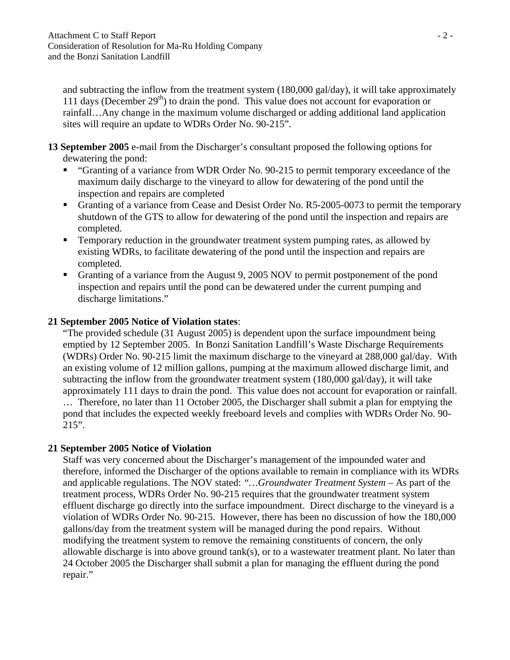and subtracting the inflow from the treatment system (180,000 gal/day), it will take approximately 111 days (December  $29<sup>th</sup>$ ) to drain the pond. This value does not account for evaporation or rainfall…Any change in the maximum volume discharged or adding additional land application sites will require an update to WDRs Order No. 90-215".

#### **13 September 2005** e-mail from the Discharger's consultant proposed the following options for dewatering the pond:

- **"** "Granting of a variance from WDR Order No. 90-215 to permit temporary exceedance of the maximum daily discharge to the vineyard to allow for dewatering of the pond until the inspection and repairs are completed
- Granting of a variance from Cease and Desist Order No. R5-2005-0073 to permit the temporary shutdown of the GTS to allow for dewatering of the pond until the inspection and repairs are completed.
- **Temporary reduction in the groundwater treatment system pumping rates, as allowed by** existing WDRs, to facilitate dewatering of the pond until the inspection and repairs are completed.
- Granting of a variance from the August 9, 2005 NOV to permit postponement of the pond inspection and repairs until the pond can be dewatered under the current pumping and discharge limitations."

### **21 September 2005 Notice of Violation states**:

"The provided schedule (31 August 2005) is dependent upon the surface impoundment being emptied by 12 September 2005. In Bonzi Sanitation Landfill's Waste Discharge Requirements (WDRs) Order No. 90-215 limit the maximum discharge to the vineyard at 288,000 gal/day. With an existing volume of 12 million gallons, pumping at the maximum allowed discharge limit, and subtracting the inflow from the groundwater treatment system (180,000 gal/day), it will take approximately 111 days to drain the pond. This value does not account for evaporation or rainfall. … Therefore, no later than 11 October 2005, the Discharger shall submit a plan for emptying the pond that includes the expected weekly freeboard levels and complies with WDRs Order No. 90- 215".

#### **21 September 2005 Notice of Violation**

Staff was very concerned about the Discharger's management of the impounded water and therefore, informed the Discharger of the options available to remain in compliance with its WDRs and applicable regulations. The NOV stated: *"…Groundwater Treatment System –* As part of the treatment process, WDRs Order No. 90-215 requires that the groundwater treatment system effluent discharge go directly into the surface impoundment. Direct discharge to the vineyard is a violation of WDRs Order No. 90-215. However, there has been no discussion of how the 180,000 gallons/day from the treatment system will be managed during the pond repairs. Without modifying the treatment system to remove the remaining constituents of concern, the only allowable discharge is into above ground tank(s), or to a wastewater treatment plant. No later than 24 October 2005 the Discharger shall submit a plan for managing the effluent during the pond repair."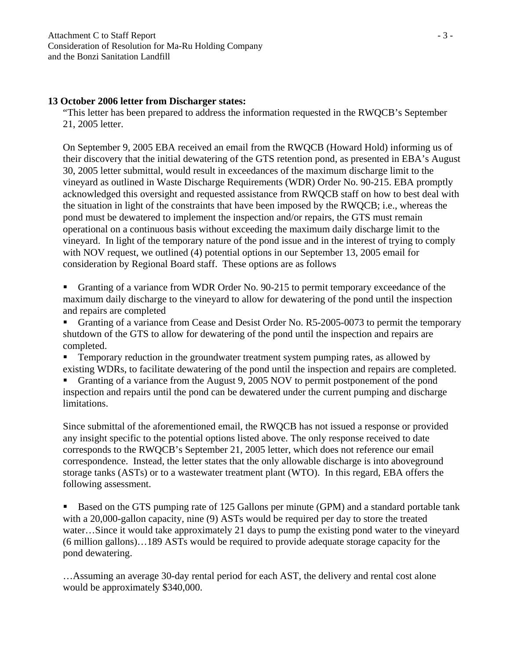#### **13 October 2006 letter from Discharger states:**

"This letter has been prepared to address the information requested in the RWQCB's September 21, 2005 letter.

On September 9, 2005 EBA received an email from the RWQCB (Howard Hold) informing us of their discovery that the initial dewatering of the GTS retention pond, as presented in EBA's August 30, 2005 letter submittal, would result in exceedances of the maximum discharge limit to the vineyard as outlined in Waste Discharge Requirements (WDR) Order No. 90-215. EBA promptly acknowledged this oversight and requested assistance from RWQCB staff on how to best deal with the situation in light of the constraints that have been imposed by the RWQCB; i.e., whereas the pond must be dewatered to implement the inspection and/or repairs, the GTS must remain operational on a continuous basis without exceeding the maximum daily discharge limit to the vineyard. In light of the temporary nature of the pond issue and in the interest of trying to comply with NOV request, we outlined (4) potential options in our September 13, 2005 email for consideration by Regional Board staff. These options are as follows

Granting of a variance from WDR Order No. 90-215 to permit temporary exceedance of the maximum daily discharge to the vineyard to allow for dewatering of the pond until the inspection and repairs are completed

Granting of a variance from Cease and Desist Order No. R5-2005-0073 to permit the temporary shutdown of the GTS to allow for dewatering of the pond until the inspection and repairs are completed.

**Temporary reduction in the groundwater treatment system pumping rates, as allowed by** existing WDRs, to facilitate dewatering of the pond until the inspection and repairs are completed.

Granting of a variance from the August 9, 2005 NOV to permit postponement of the pond inspection and repairs until the pond can be dewatered under the current pumping and discharge limitations.

Since submittal of the aforementioned email, the RWQCB has not issued a response or provided any insight specific to the potential options listed above. The only response received to date corresponds to the RWQCB's September 21, 2005 letter, which does not reference our email correspondence. Instead, the letter states that the only allowable discharge is into aboveground storage tanks (ASTs) or to a wastewater treatment plant (WTO). In this regard, EBA offers the following assessment.

Based on the GTS pumping rate of 125 Gallons per minute (GPM) and a standard portable tank with a 20,000-gallon capacity, nine (9) ASTs would be required per day to store the treated water…Since it would take approximately 21 days to pump the existing pond water to the vineyard (6 million gallons)…189 ASTs would be required to provide adequate storage capacity for the pond dewatering.

…Assuming an average 30-day rental period for each AST, the delivery and rental cost alone would be approximately \$340,000.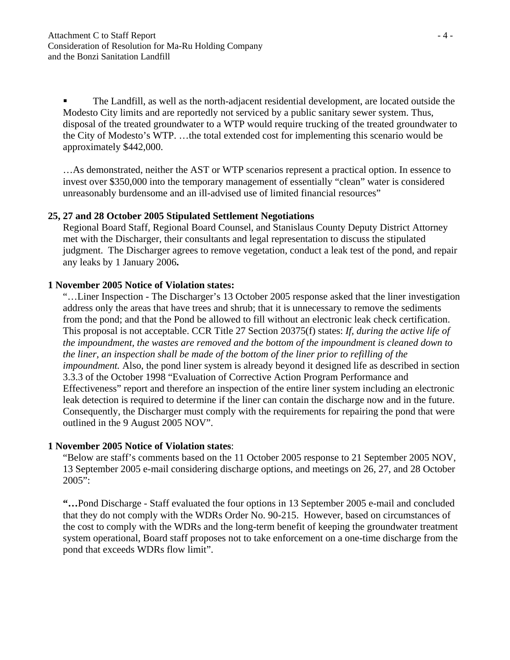The Landfill, as well as the north-adjacent residential development, are located outside the Modesto City limits and are reportedly not serviced by a public sanitary sewer system. Thus, disposal of the treated groundwater to a WTP would require trucking of the treated groundwater to the City of Modesto's WTP. …the total extended cost for implementing this scenario would be approximately \$442,000.

…As demonstrated, neither the AST or WTP scenarios represent a practical option. In essence to invest over \$350,000 into the temporary management of essentially "clean" water is considered unreasonably burdensome and an ill-advised use of limited financial resources"

#### **25, 27 and 28 October 2005 Stipulated Settlement Negotiations**

Regional Board Staff, Regional Board Counsel, and Stanislaus County Deputy District Attorney met with the Discharger, their consultants and legal representation to discuss the stipulated judgment. The Discharger agrees to remove vegetation, conduct a leak test of the pond, and repair any leaks by 1 January 2006**.** 

#### **1 November 2005 Notice of Violation states:**

"…Liner Inspection - The Discharger's 13 October 2005 response asked that the liner investigation address only the areas that have trees and shrub; that it is unnecessary to remove the sediments from the pond; and that the Pond be allowed to fill without an electronic leak check certification. This proposal is not acceptable. CCR Title 27 Section 20375(f) states: *If, during the active life of the impoundment, the wastes are removed and the bottom of the impoundment is cleaned down to the liner, an inspection shall be made of the bottom of the liner prior to refilling of the impoundment.* Also, the pond liner system is already beyond it designed life as described in section 3.3.3 of the October 1998 "Evaluation of Corrective Action Program Performance and Effectiveness" report and therefore an inspection of the entire liner system including an electronic leak detection is required to determine if the liner can contain the discharge now and in the future. Consequently, the Discharger must comply with the requirements for repairing the pond that were outlined in the 9 August 2005 NOV".

#### **1 November 2005 Notice of Violation states**:

"Below are staff's comments based on the 11 October 2005 response to 21 September 2005 NOV, 13 September 2005 e-mail considering discharge options, and meetings on 26, 27, and 28 October 2005":

**"…**Pond Discharge - Staff evaluated the four options in 13 September 2005 e-mail and concluded that they do not comply with the WDRs Order No. 90-215. However, based on circumstances of the cost to comply with the WDRs and the long-term benefit of keeping the groundwater treatment system operational, Board staff proposes not to take enforcement on a one-time discharge from the pond that exceeds WDRs flow limit".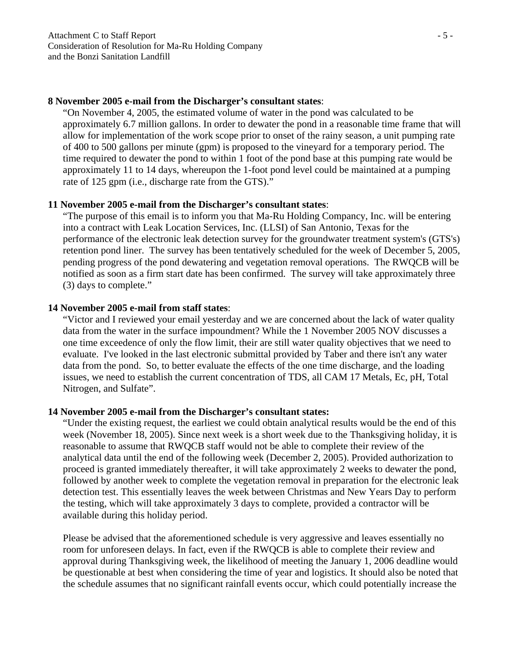#### **8 November 2005 e-mail from the Discharger's consultant states**:

"On November 4, 2005, the estimated volume of water in the pond was calculated to be approximately 6.7 million gallons. In order to dewater the pond in a reasonable time frame that will allow for implementation of the work scope prior to onset of the rainy season, a unit pumping rate of 400 to 500 gallons per minute (gpm) is proposed to the vineyard for a temporary period. The time required to dewater the pond to within 1 foot of the pond base at this pumping rate would be approximately 11 to 14 days, whereupon the 1-foot pond level could be maintained at a pumping rate of 125 gpm (i.e., discharge rate from the GTS)."

#### **11 November 2005 e-mail from the Discharger's consultant states**:

"The purpose of this email is to inform you that Ma-Ru Holding Compancy, Inc. will be entering into a contract with Leak Location Services, Inc. (LLSI) of San Antonio, Texas for the performance of the electronic leak detection survey for the groundwater treatment system's (GTS's) retention pond liner. The survey has been tentatively scheduled for the week of December 5, 2005, pending progress of the pond dewatering and vegetation removal operations. The RWQCB will be notified as soon as a firm start date has been confirmed. The survey will take approximately three (3) days to complete."

#### **14 November 2005 e-mail from staff states**:

"Victor and I reviewed your email yesterday and we are concerned about the lack of water quality data from the water in the surface impoundment? While the 1 November 2005 NOV discusses a one time exceedence of only the flow limit, their are still water quality objectives that we need to evaluate. I've looked in the last electronic submittal provided by Taber and there isn't any water data from the pond. So, to better evaluate the effects of the one time discharge, and the loading issues, we need to establish the current concentration of TDS, all CAM 17 Metals, Ec, pH, Total Nitrogen, and Sulfate".

#### **14 November 2005 e-mail from the Discharger's consultant states:**

"Under the existing request, the earliest we could obtain analytical results would be the end of this week (November 18, 2005). Since next week is a short week due to the Thanksgiving holiday, it is reasonable to assume that RWQCB staff would not be able to complete their review of the analytical data until the end of the following week (December 2, 2005). Provided authorization to proceed is granted immediately thereafter, it will take approximately 2 weeks to dewater the pond, followed by another week to complete the vegetation removal in preparation for the electronic leak detection test. This essentially leaves the week between Christmas and New Years Day to perform the testing, which will take approximately 3 days to complete, provided a contractor will be available during this holiday period.

Please be advised that the aforementioned schedule is very aggressive and leaves essentially no room for unforeseen delays. In fact, even if the RWQCB is able to complete their review and approval during Thanksgiving week, the likelihood of meeting the January 1, 2006 deadline would be questionable at best when considering the time of year and logistics. It should also be noted that the schedule assumes that no significant rainfall events occur, which could potentially increase the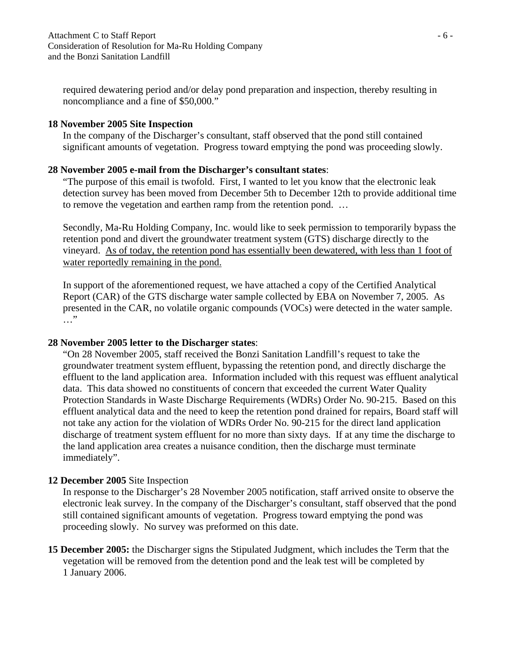required dewatering period and/or delay pond preparation and inspection, thereby resulting in noncompliance and a fine of \$50,000."

#### **18 November 2005 Site Inspection**

In the company of the Discharger's consultant, staff observed that the pond still contained significant amounts of vegetation. Progress toward emptying the pond was proceeding slowly.

#### **28 November 2005 e-mail from the Discharger's consultant states**:

"The purpose of this email is twofold. First, I wanted to let you know that the electronic leak detection survey has been moved from December 5th to December 12th to provide additional time to remove the vegetation and earthen ramp from the retention pond. …

Secondly, Ma-Ru Holding Company, Inc. would like to seek permission to temporarily bypass the retention pond and divert the groundwater treatment system (GTS) discharge directly to the vineyard. As of today, the retention pond has essentially been dewatered, with less than 1 foot of water reportedly remaining in the pond.

In support of the aforementioned request, we have attached a copy of the Certified Analytical Report (CAR) of the GTS discharge water sample collected by EBA on November 7, 2005. As presented in the CAR, no volatile organic compounds (VOCs) were detected in the water sample. …"

#### **28 November 2005 letter to the Discharger states**:

"On 28 November 2005, staff received the Bonzi Sanitation Landfill's request to take the groundwater treatment system effluent, bypassing the retention pond, and directly discharge the effluent to the land application area. Information included with this request was effluent analytical data. This data showed no constituents of concern that exceeded the current Water Quality Protection Standards in Waste Discharge Requirements (WDRs) Order No. 90-215. Based on this effluent analytical data and the need to keep the retention pond drained for repairs, Board staff will not take any action for the violation of WDRs Order No. 90-215 for the direct land application discharge of treatment system effluent for no more than sixty days. If at any time the discharge to the land application area creates a nuisance condition, then the discharge must terminate immediately".

#### **12 December 2005** Site Inspection

In response to the Discharger's 28 November 2005 notification, staff arrived onsite to observe the electronic leak survey. In the company of the Discharger's consultant, staff observed that the pond still contained significant amounts of vegetation. Progress toward emptying the pond was proceeding slowly. No survey was preformed on this date.

**15 December 2005:** the Discharger signs the Stipulated Judgment, which includes the Term that the vegetation will be removed from the detention pond and the leak test will be completed by 1 January 2006.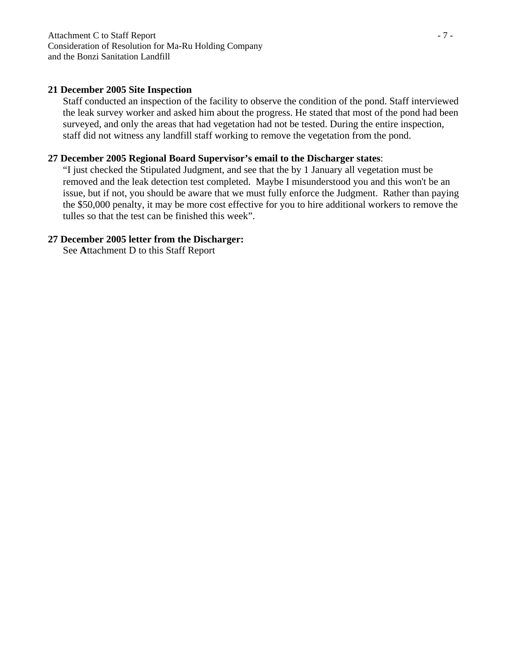#### **21 December 2005 Site Inspection**

Staff conducted an inspection of the facility to observe the condition of the pond. Staff interviewed the leak survey worker and asked him about the progress. He stated that most of the pond had been surveyed, and only the areas that had vegetation had not be tested. During the entire inspection, staff did not witness any landfill staff working to remove the vegetation from the pond.

#### **27 December 2005 Regional Board Supervisor's email to the Discharger states**:

"I just checked the Stipulated Judgment, and see that the by 1 January all vegetation must be removed and the leak detection test completed. Maybe I misunderstood you and this won't be an issue, but if not, you should be aware that we must fully enforce the Judgment. Rather than paying the \$50,000 penalty, it may be more cost effective for you to hire additional workers to remove the tulles so that the test can be finished this week".

#### **27 December 2005 letter from the Discharger:**

See **A**ttachment D to this Staff Report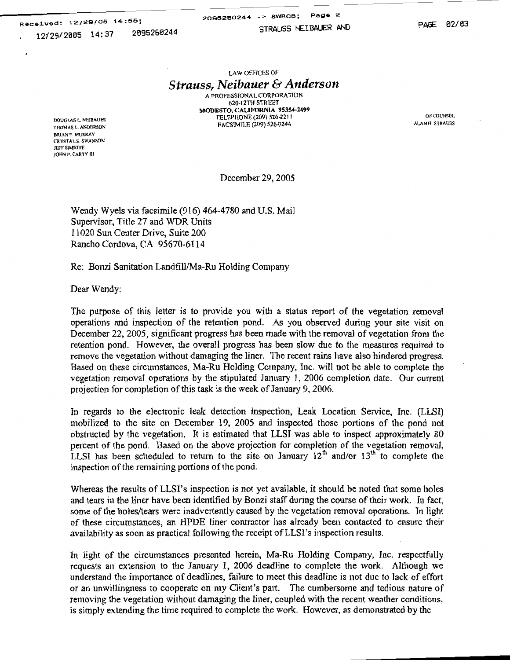Received: 12/29/05 14:55; 2095260244 12/29/2005 14:37

2095260244 -> SWRCB; Page 2

STRAUSS NEIBAUER AND

PAGE 02/03

OF COUNSEL

ALAN H. STRAUSS

LAW OFFICES OF

### **Strauss, Neibauer & Anderson**

A PROFESSIONAL CORPORATION 620-12TH STREET MODESTO, CALIFORNIA 95354-2499 TELEPHONE (209) 526-2211 FACSIMILE (209) 526-0244

DOUGLAS L. NEIBAUER THOMAS L. ANDERSON **BRIAN P. MURRAY** CRYSTAL S. SWANSON JEFF SIMIONE JOHN P. CARTY III

December 29, 2005

Wendy Wyels via facsimile (916) 464-4780 and U.S. Mail Supervisor, Title 27 and WDR Units 11020 Sun Center Drive, Suite 200 Rancho Cordova, CA 95670-6114

Re: Bonzi Sanitation Landfill/Ma-Ru Holding Company

Dear Wendy:

The purpose of this letter is to provide you with a status report of the vegetation removal operations and inspection of the retention pond. As you observed during your site visit on December 22, 2005, significant progress has been made with the removal of vegetation from the retention pond. However, the overall progress has been slow due to the measures required to remove the vegetation without damaging the liner. The recent rains have also hindered progress. Based on these circumstances, Ma-Ru Holding Company, Inc. will not be able to complete the vegetation removal operations by the stipulated January 1, 2006 completion date. Our current projection for completion of this task is the week of January 9, 2006.

In regards to the electronic leak detection inspection, Leak Location Service, Inc. (LLSI) mobilized to the site on December 19, 2005 and inspected those portions of the pond not obstructed by the vegetation. It is estimated that LLSI was able to inspect approximately 80 percent of the pond. Based on the above projection for completion of the vegetation removal, LLSI has been scheduled to return to the site on January 12<sup>th</sup> and/or 13<sup>th</sup> to complete the inspection of the remaining portions of the pond.

Whereas the results of LLSI's inspection is not yet available, it should be noted that some holes and tears in the liner have been identified by Bonzi staff during the course of their work. In fact, some of the holes/tears were inadvertently caused by the vegetation removal operations. In light of these circumstances, an HPDE liner contractor has already been contacted to ensure their availability as soon as practical following the receipt of LLSI's inspection results.

In light of the circumstances presented herein, Ma-Ru Holding Company, Inc. respectfully requests an extension to the January 1, 2006 deadline to complete the work. Although we understand the importance of deadlines, failure to meet this deadline is not due to lack of effort or an unwillingness to cooperate on my Client's part. The cumbersome and tedious nature of removing the vegetation without damaging the liner, coupled with the recent weather conditions, is simply extending the time required to complete the work. However, as demonstrated by the